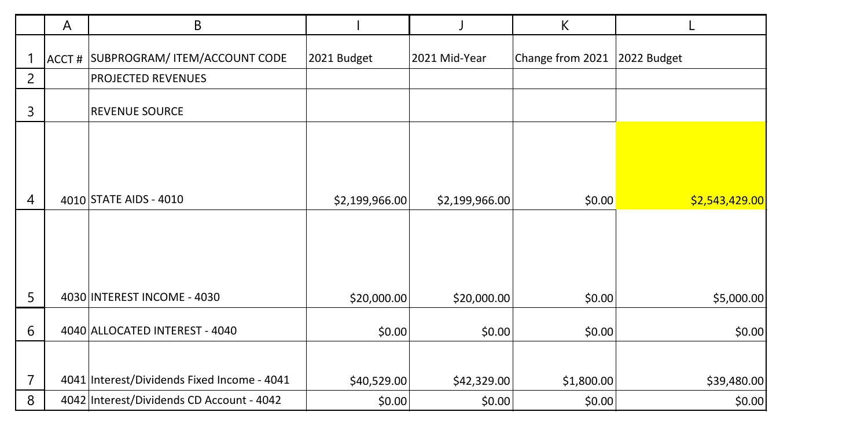|   | A     | B                                           |                |                | K                |                |
|---|-------|---------------------------------------------|----------------|----------------|------------------|----------------|
|   | ACCT# | SUBPROGRAM/ ITEM/ACCOUNT CODE               | 2021 Budget    | 2021 Mid-Year  | Change from 2021 | 2022 Budget    |
| 2 |       | <b>PROJECTED REVENUES</b>                   |                |                |                  |                |
| 3 |       | <b>REVENUE SOURCE</b>                       |                |                |                  |                |
| 4 |       | 4010 STATE AIDS - 4010                      | \$2,199,966.00 | \$2,199,966.00 | \$0.00           | \$2,543,429.00 |
|   |       |                                             |                |                |                  |                |
|   |       |                                             |                |                |                  |                |
| 5 |       | 4030 INTEREST INCOME - 4030                 | \$20,000.00    | \$20,000.00    | \$0.00           | \$5,000.00     |
| 6 |       | 4040 ALLOCATED INTEREST - 4040              | \$0.00         | \$0.00         | \$0.00           | \$0.00         |
|   |       |                                             |                |                |                  |                |
| 7 |       | 4041 Interest/Dividends Fixed Income - 4041 | \$40,529.00    | \$42,329.00    | \$1,800.00       | \$39,480.00    |
| 8 |       | 4042 Interest/Dividends CD Account - 4042   | \$0.00         | \$0.00         | \$0.00           | \$0.00         |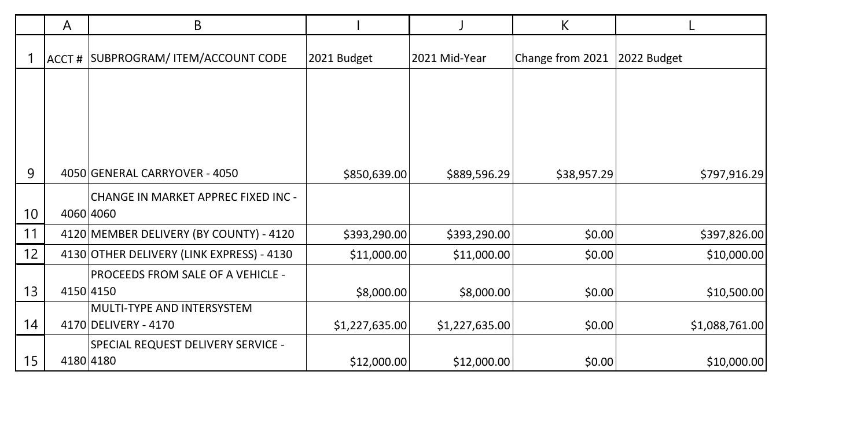|    | A     | B                                                |                |                | K                |                |
|----|-------|--------------------------------------------------|----------------|----------------|------------------|----------------|
|    | ACCT# | SUBPROGRAM/ ITEM/ACCOUNT CODE                    | 2021 Budget    | 2021 Mid-Year  | Change from 2021 | 2022 Budget    |
|    |       |                                                  |                |                |                  |                |
|    |       |                                                  |                |                |                  |                |
|    |       |                                                  |                |                |                  |                |
|    |       |                                                  |                |                |                  |                |
| 9  |       | 4050 GENERAL CARRYOVER - 4050                    | \$850,639.00   | \$889,596.29   | \$38,957.29      | \$797,916.29   |
| 10 |       | CHANGE IN MARKET APPREC FIXED INC -<br>4060 4060 |                |                |                  |                |
| 11 |       | 4120 MEMBER DELIVERY (BY COUNTY) - 4120          | \$393,290.00   | \$393,290.00   | \$0.00           | \$397,826.00   |
| 12 |       | 4130 OTHER DELIVERY (LINK EXPRESS) - 4130        | \$11,000.00    | \$11,000.00    | \$0.00           | \$10,000.00    |
|    |       | PROCEEDS FROM SALE OF A VEHICLE -                |                |                |                  |                |
| 13 |       | 4150 4150                                        | \$8,000.00     | \$8,000.00     | \$0.00           | \$10,500.00    |
|    |       | MULTI-TYPE AND INTERSYSTEM                       |                |                |                  |                |
| 14 |       | 4170 DELIVERY - 4170                             | \$1,227,635.00 | \$1,227,635.00 | \$0.00           | \$1,088,761.00 |
|    |       | SPECIAL REQUEST DELIVERY SERVICE -               |                |                |                  |                |
| 15 |       | 4180 4180                                        | \$12,000.00    | \$12,000.00    | \$0.00           | \$10,000.00    |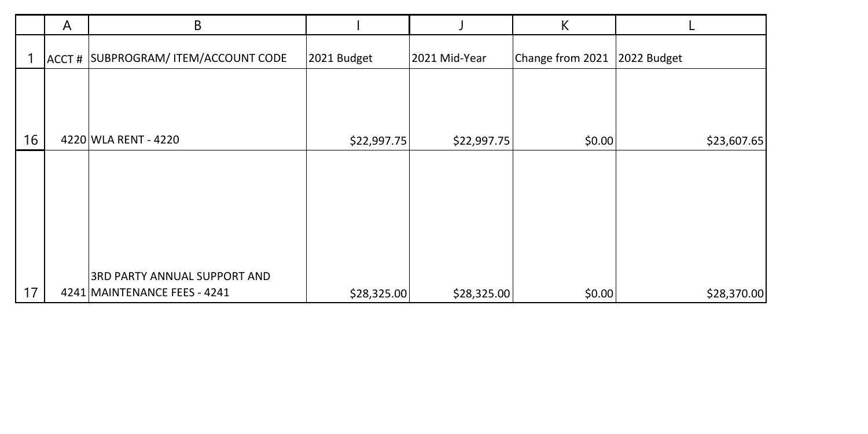|    | A     | В                             |             |               | К                |             |
|----|-------|-------------------------------|-------------|---------------|------------------|-------------|
|    | ACCT# | SUBPROGRAM/ ITEM/ACCOUNT CODE | 2021 Budget | 2021 Mid-Year | Change from 2021 | 2022 Budget |
|    |       |                               |             |               |                  |             |
|    |       |                               |             |               |                  |             |
| 16 |       | 4220 WLA RENT - 4220          | \$22,997.75 | \$22,997.75   | \$0.00           | \$23,607.65 |
|    |       |                               |             |               |                  |             |
|    |       |                               |             |               |                  |             |
|    |       |                               |             |               |                  |             |
|    |       |                               |             |               |                  |             |
|    |       |                               |             |               |                  |             |
|    |       |                               |             |               |                  |             |
|    |       |                               |             |               |                  |             |
|    |       | 3RD PARTY ANNUAL SUPPORT AND  |             |               |                  |             |
| 17 |       | 4241 MAINTENANCE FEES - 4241  | \$28,325.00 | \$28,325.00   | \$0.00           | \$28,370.00 |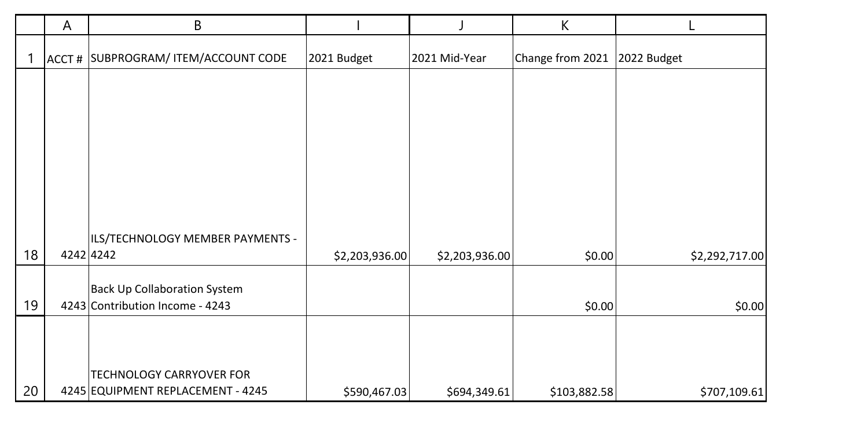|    | A         | B                                                                    |                |                | К                |                |
|----|-----------|----------------------------------------------------------------------|----------------|----------------|------------------|----------------|
|    |           | ACCT # SUBPROGRAM/ ITEM/ACCOUNT CODE                                 | 2021 Budget    | 2021 Mid-Year  | Change from 2021 | 2022 Budget    |
|    |           |                                                                      |                |                |                  |                |
|    |           |                                                                      |                |                |                  |                |
|    |           |                                                                      |                |                |                  |                |
|    |           |                                                                      |                |                |                  |                |
|    |           |                                                                      |                |                |                  |                |
|    |           | ILS/TECHNOLOGY MEMBER PAYMENTS -                                     |                |                |                  |                |
| 18 | 4242 4242 |                                                                      | \$2,203,936.00 | \$2,203,936.00 | \$0.00           | \$2,292,717.00 |
|    |           | <b>Back Up Collaboration System</b>                                  |                |                |                  |                |
| 19 |           | 4243 Contribution Income - 4243                                      |                |                | \$0.00           | \$0.00         |
|    |           |                                                                      |                |                |                  |                |
|    |           |                                                                      |                |                |                  |                |
| 20 |           | <b>TECHNOLOGY CARRYOVER FOR</b><br>4245 EQUIPMENT REPLACEMENT - 4245 | \$590,467.03   | \$694,349.61   | \$103,882.58     | \$707,109.61   |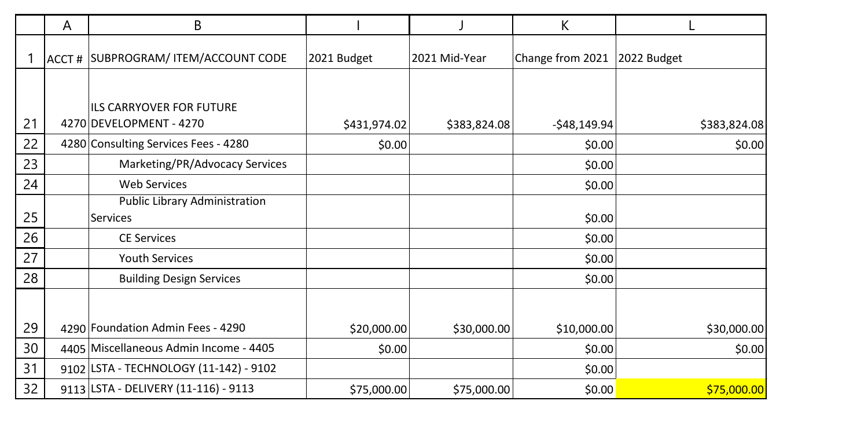|    | Α | В                                                          |              |               | К                |              |
|----|---|------------------------------------------------------------|--------------|---------------|------------------|--------------|
|    |   | ACCT # SUBPROGRAM/ ITEM/ACCOUNT CODE                       | 2021 Budget  | 2021 Mid-Year | Change from 2021 | 2022 Budget  |
| 21 |   | <b>ILS CARRYOVER FOR FUTURE</b><br>4270 DEVELOPMENT - 4270 | \$431,974.02 | \$383,824.08  | $-$48,149.94$    | \$383,824.08 |
| 22 |   | 4280 Consulting Services Fees - 4280                       | \$0.00       |               | \$0.00           | \$0.00       |
| 23 |   | Marketing/PR/Advocacy Services                             |              |               | \$0.00           |              |
| 24 |   | <b>Web Services</b>                                        |              |               | \$0.00           |              |
|    |   | <b>Public Library Administration</b>                       |              |               |                  |              |
| 25 |   | <b>Services</b>                                            |              |               | \$0.00           |              |
| 26 |   | <b>CE Services</b>                                         |              |               | \$0.00           |              |
| 27 |   | <b>Youth Services</b>                                      |              |               | \$0.00           |              |
| 28 |   | <b>Building Design Services</b>                            |              |               | \$0.00           |              |
|    |   |                                                            |              |               |                  |              |
| 29 |   | 4290 Foundation Admin Fees - 4290                          | \$20,000.00  | \$30,000.00   | \$10,000.00      | \$30,000.00  |
| 30 |   | 4405   Miscellaneous Admin Income - 4405                   | \$0.00       |               | \$0.00           | \$0.00       |
| 31 |   | 9102 LSTA - TECHNOLOGY (11-142) - 9102                     |              |               | \$0.00           |              |
| 32 |   | 9113 LSTA - DELIVERY (11-116) - 9113                       | \$75,000.00  | \$75,000.00   | \$0.00           | \$75,000.00  |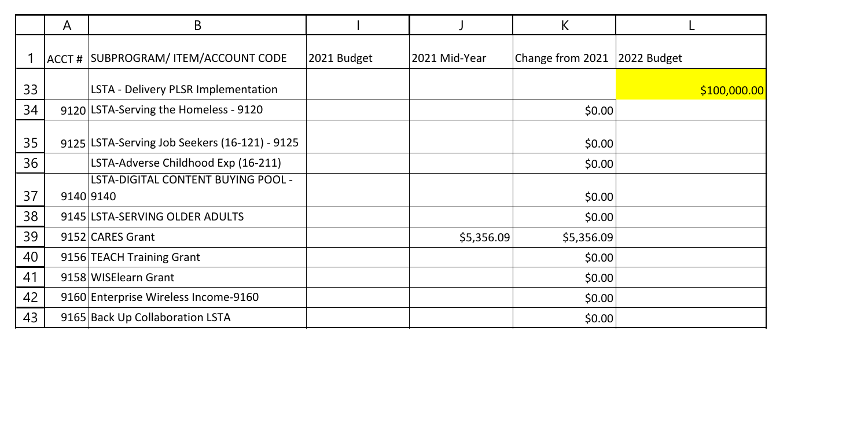|    | A | В                                             |             |               | К                |              |
|----|---|-----------------------------------------------|-------------|---------------|------------------|--------------|
|    |   | ACCT # SUBPROGRAM/ ITEM/ACCOUNT CODE          | 2021 Budget | 2021 Mid-Year | Change from 2021 | 2022 Budget  |
| 33 |   | LSTA - Delivery PLSR Implementation           |             |               |                  | \$100,000.00 |
| 34 |   | 9120 LSTA-Serving the Homeless - 9120         |             |               | \$0.00           |              |
| 35 |   | 9125 LSTA-Serving Job Seekers (16-121) - 9125 |             |               | \$0.00           |              |
| 36 |   | LSTA-Adverse Childhood Exp (16-211)           |             |               | \$0.00           |              |
|    |   | <b>LSTA-DIGITAL CONTENT BUYING POOL -</b>     |             |               |                  |              |
| 37 |   | 9140 9140                                     |             |               | \$0.00           |              |
| 38 |   | 9145 LSTA-SERVING OLDER ADULTS                |             |               | \$0.00           |              |
| 39 |   | 9152 CARES Grant                              |             | \$5,356.09    | \$5,356.09       |              |
| 40 |   | 9156 TEACH Training Grant                     |             |               | \$0.00           |              |
| 41 |   | 9158 WISElearn Grant                          |             |               | \$0.00           |              |
| 42 |   | 9160 Enterprise Wireless Income-9160          |             |               | \$0.00           |              |
| 43 |   | 9165 Back Up Collaboration LSTA               |             |               | \$0.00           |              |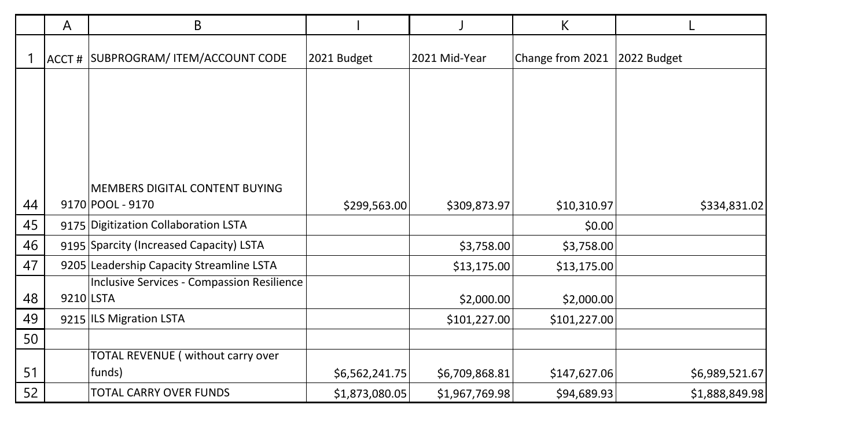|    | A         | В                                          |                |                | К                |                |
|----|-----------|--------------------------------------------|----------------|----------------|------------------|----------------|
|    |           | ACCT # SUBPROGRAM/ ITEM/ACCOUNT CODE       | 2021 Budget    | 2021 Mid-Year  | Change from 2021 | 2022 Budget    |
|    |           |                                            |                |                |                  |                |
|    |           |                                            |                |                |                  |                |
|    |           |                                            |                |                |                  |                |
|    |           |                                            |                |                |                  |                |
|    |           | MEMBERS DIGITAL CONTENT BUYING             |                |                |                  |                |
| 44 |           | 9170 POOL - 9170                           | \$299,563.00   | \$309,873.97   | \$10,310.97      | \$334,831.02   |
| 45 |           | 9175 Digitization Collaboration LSTA       |                |                | \$0.00           |                |
| 46 |           | 9195 Sparcity (Increased Capacity) LSTA    |                | \$3,758.00     | \$3,758.00       |                |
| 47 |           | 9205 Leadership Capacity Streamline LSTA   |                | \$13,175.00    | \$13,175.00      |                |
|    |           | Inclusive Services - Compassion Resilience |                |                |                  |                |
| 48 | 9210 LSTA |                                            |                | \$2,000.00     | \$2,000.00       |                |
| 49 |           | 9215 ILS Migration LSTA                    |                | \$101,227.00   | \$101,227.00     |                |
| 50 |           |                                            |                |                |                  |                |
|    |           | TOTAL REVENUE (without carry over          |                |                |                  |                |
| 51 |           | funds)                                     | \$6,562,241.75 | \$6,709,868.81 | \$147,627.06     | \$6,989,521.67 |
| 52 |           | TOTAL CARRY OVER FUNDS                     | \$1,873,080.05 | \$1,967,769.98 | \$94,689.93      | \$1,888,849.98 |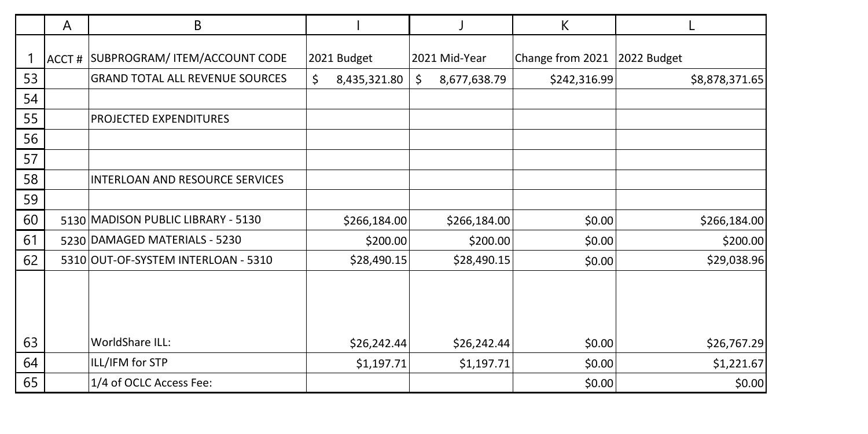|    | A | B                                      |                    |                    | К                |                |
|----|---|----------------------------------------|--------------------|--------------------|------------------|----------------|
|    |   | ACCT # SUBPROGRAM/ ITEM/ACCOUNT CODE   | 2021 Budget        | 2021 Mid-Year      | Change from 2021 | 2022 Budget    |
| 53 |   | <b>GRAND TOTAL ALL REVENUE SOURCES</b> | \$<br>8,435,321.80 | \$<br>8,677,638.79 | \$242,316.99     | \$8,878,371.65 |
| 54 |   |                                        |                    |                    |                  |                |
| 55 |   | PROJECTED EXPENDITURES                 |                    |                    |                  |                |
| 56 |   |                                        |                    |                    |                  |                |
| 57 |   |                                        |                    |                    |                  |                |
| 58 |   | INTERLOAN AND RESOURCE SERVICES        |                    |                    |                  |                |
| 59 |   |                                        |                    |                    |                  |                |
| 60 |   | 5130 MADISON PUBLIC LIBRARY - 5130     | \$266,184.00       | \$266,184.00       | \$0.00           | \$266,184.00   |
| 61 |   | 5230 DAMAGED MATERIALS - 5230          | \$200.00           | \$200.00           | \$0.00           | \$200.00]      |
| 62 |   | 5310 OUT-OF-SYSTEM INTERLOAN - 5310    | \$28,490.15        | \$28,490.15        | \$0.00           | \$29,038.96    |
|    |   |                                        |                    |                    |                  |                |
| 63 |   | WorldShare ILL:                        | \$26,242.44        | \$26,242.44        | \$0.00           | \$26,767.29    |
| 64 |   | ILL/IFM for STP                        | \$1,197.71         | \$1,197.71         | \$0.00           | \$1,221.67     |
| 65 |   | 1/4 of OCLC Access Fee:                |                    |                    | \$0.00           | \$0.00         |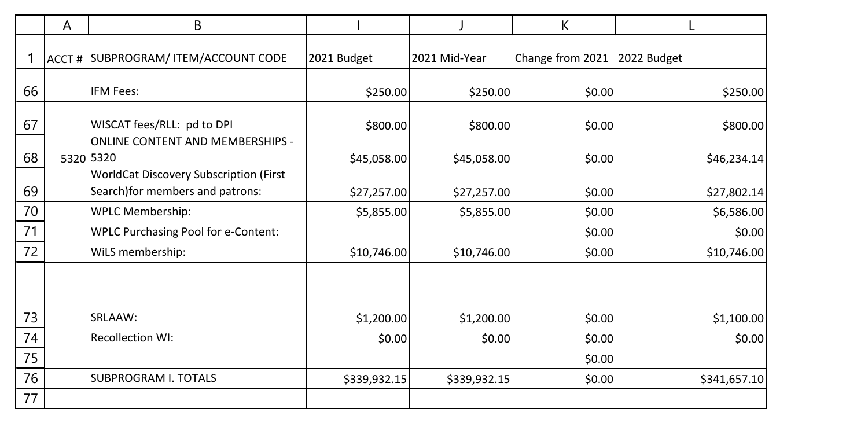|    | A | В                                                                         |              |               | К                |              |
|----|---|---------------------------------------------------------------------------|--------------|---------------|------------------|--------------|
|    |   | ACCT # SUBPROGRAM/ ITEM/ACCOUNT CODE                                      | 2021 Budget  | 2021 Mid-Year | Change from 2021 | 2022 Budget  |
| 66 |   | IFM Fees:                                                                 | \$250.00     | \$250.00      | \$0.00           | \$250.00     |
| 67 |   | WISCAT fees/RLL: pd to DPI                                                | \$800.00     | \$800.00      | \$0.00           | \$800.00     |
| 68 |   | <b>ONLINE CONTENT AND MEMBERSHIPS -</b><br>5320 5320                      | \$45,058.00  | \$45,058.00   | \$0.00           | \$46,234.14  |
| 69 |   | WorldCat Discovery Subscription (First<br>Search)for members and patrons: | \$27,257.00  | \$27,257.00   | \$0.00           | \$27,802.14  |
| 70 |   | <b>WPLC Membership:</b>                                                   | \$5,855.00   | \$5,855.00    | \$0.00           | \$6,586.00   |
| 71 |   | <b>WPLC Purchasing Pool for e-Content:</b>                                |              |               | \$0.00           | \$0.00       |
| 72 |   | WiLS membership:                                                          | \$10,746.00  | \$10,746.00   | \$0.00           | \$10,746.00  |
| 73 |   | SRLAAW:                                                                   | \$1,200.00   | \$1,200.00    | \$0.00           | \$1,100.00   |
| 74 |   | <b>Recollection WI:</b>                                                   | \$0.00       | \$0.00        | \$0.00           | \$0.00       |
| 75 |   |                                                                           |              |               | \$0.00           |              |
| 76 |   | <b>SUBPROGRAM I. TOTALS</b>                                               | \$339,932.15 | \$339,932.15  | \$0.00           | \$341,657.10 |
| 77 |   |                                                                           |              |               |                  |              |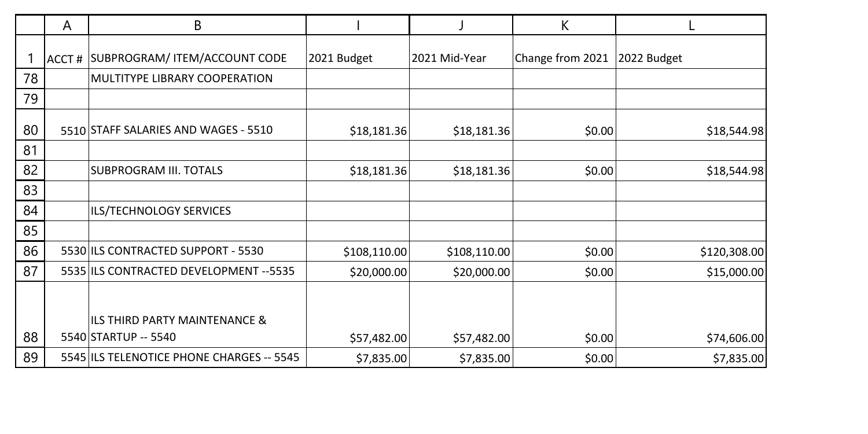|    | Α | В                                         |              |               | К                |              |
|----|---|-------------------------------------------|--------------|---------------|------------------|--------------|
|    |   | ACCT # SUBPROGRAM/ ITEM/ACCOUNT CODE      | 2021 Budget  | 2021 Mid-Year | Change from 2021 | 2022 Budget  |
| 78 |   | MULTITYPE LIBRARY COOPERATION             |              |               |                  |              |
| 79 |   |                                           |              |               |                  |              |
| 80 |   | 5510 STAFF SALARIES AND WAGES - 5510      | \$18,181.36  | \$18,181.36   | \$0.00           | \$18,544.98  |
| 81 |   |                                           |              |               |                  |              |
| 82 |   | SUBPROGRAM III. TOTALS                    | \$18,181.36  | \$18,181.36   | \$0.00           | \$18,544.98  |
| 83 |   |                                           |              |               |                  |              |
| 84 |   | ILS/TECHNOLOGY SERVICES                   |              |               |                  |              |
| 85 |   |                                           |              |               |                  |              |
| 86 |   | 5530 ILS CONTRACTED SUPPORT - 5530        | \$108,110.00 | \$108,110.00  | \$0.00           | \$120,308.00 |
| 87 |   | 5535 ILS CONTRACTED DEVELOPMENT -- 5535   | \$20,000.00  | \$20,000.00   | \$0.00           | \$15,000.00  |
|    |   |                                           |              |               |                  |              |
|    |   | ILS THIRD PARTY MAINTENANCE &             |              |               |                  |              |
| 88 |   | 5540 STARTUP -- 5540                      | \$57,482.00  | \$57,482.00   | \$0.00           | \$74,606.00  |
| 89 |   | 5545 ILS TELENOTICE PHONE CHARGES -- 5545 | \$7,835.00   | \$7,835.00    | \$0.00           | \$7,835.00   |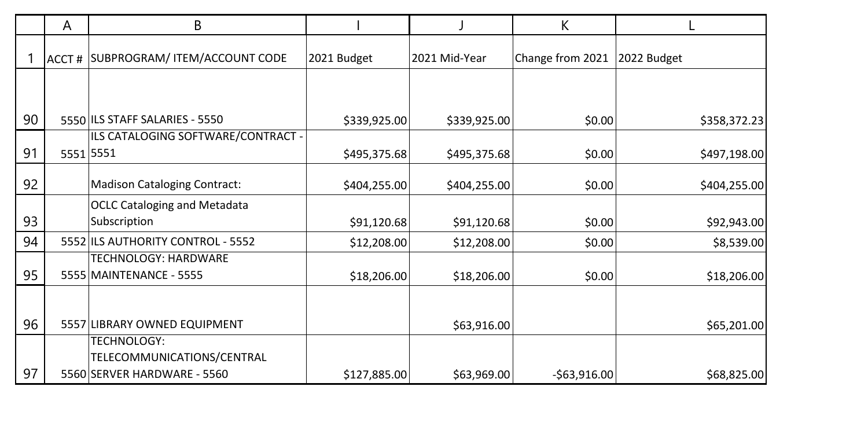|    | A     | В                                                                        |              |               | K                |              |
|----|-------|--------------------------------------------------------------------------|--------------|---------------|------------------|--------------|
|    | ACCT# | SUBPROGRAM/ ITEM/ACCOUNT CODE                                            | 2021 Budget  | 2021 Mid-Year | Change from 2021 | 2022 Budget  |
|    |       |                                                                          |              |               |                  |              |
| 90 |       | 5550 ILS STAFF SALARIES - 5550                                           | \$339,925.00 | \$339,925.00  | \$0.00           | \$358,372.23 |
| 91 |       | ILS CATALOGING SOFTWARE/CONTRACT -<br>5551 5551                          | \$495,375.68 | \$495,375.68  | \$0.00           | \$497,198.00 |
| 92 |       | <b>Madison Cataloging Contract:</b>                                      | \$404,255.00 | \$404,255.00  | \$0.00           | \$404,255.00 |
| 93 |       | <b>OCLC Cataloging and Metadata</b><br>Subscription                      | \$91,120.68  | \$91,120.68   | \$0.00           | \$92,943.00  |
| 94 |       | 5552 ILS AUTHORITY CONTROL - 5552                                        | \$12,208.00  | \$12,208.00   | \$0.00           | \$8,539.00   |
| 95 |       | <b>TECHNOLOGY: HARDWARE</b><br>5555 MAINTENANCE - 5555                   | \$18,206.00  | \$18,206.00   | \$0.00           | \$18,206.00  |
| 96 |       | 5557 LIBRARY OWNED EQUIPMENT                                             |              | \$63,916.00   |                  | \$65,201.00  |
| 97 |       | TECHNOLOGY:<br>TELECOMMUNICATIONS/CENTRAL<br>5560 SERVER HARDWARE - 5560 | \$127,885.00 | \$63,969.00   | $-$63,916.00$    | \$68,825.00  |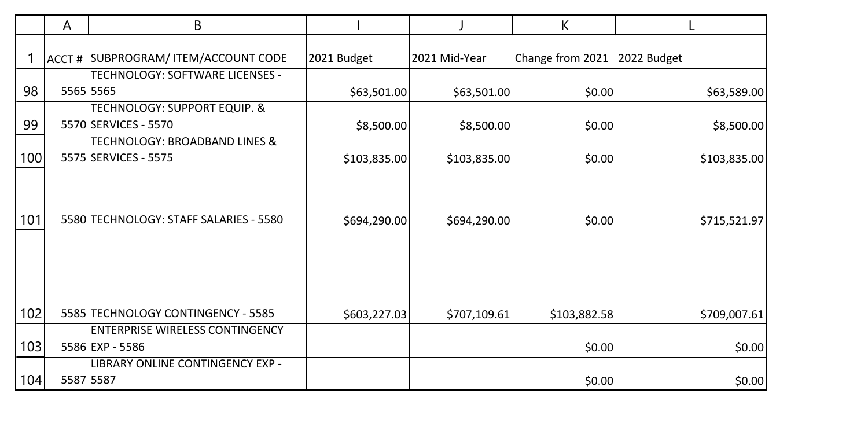|     | A | B                                                                |              |               | К                |              |
|-----|---|------------------------------------------------------------------|--------------|---------------|------------------|--------------|
|     |   | ACCT # SUBPROGRAM/ ITEM/ACCOUNT CODE                             | 2021 Budget  | 2021 Mid-Year | Change from 2021 | 2022 Budget  |
| 98  |   | TECHNOLOGY: SOFTWARE LICENSES -<br>5565 5565                     | \$63,501.00  | \$63,501.00   | \$0.00           | \$63,589.00  |
| 99  |   | TECHNOLOGY: SUPPORT EQUIP. &<br>5570 SERVICES - 5570             | \$8,500.00   | \$8,500.00    | \$0.00           | \$8,500.00   |
| 100 |   | <b>TECHNOLOGY: BROADBAND LINES &amp;</b><br>5575 SERVICES - 5575 | \$103,835.00 | \$103,835.00  | \$0.00           | \$103,835.00 |
|     |   |                                                                  |              |               |                  |              |
| 101 |   | 5580 TECHNOLOGY: STAFF SALARIES - 5580                           | \$694,290.00 | \$694,290.00  | \$0.00           | \$715,521.97 |
|     |   |                                                                  |              |               |                  |              |
|     |   |                                                                  |              |               |                  |              |
| 102 |   | 5585 TECHNOLOGY CONTINGENCY - 5585                               | \$603,227.03 | \$707,109.61  | \$103,882.58     | \$709,007.61 |
| 103 |   | <b>ENTERPRISE WIRELESS CONTINGENCY</b><br>5586 EXP - 5586        |              |               | \$0.00           | \$0.00       |
| 104 |   | LIBRARY ONLINE CONTINGENCY EXP -<br>5587 5587                    |              |               | \$0.00           | \$0.00       |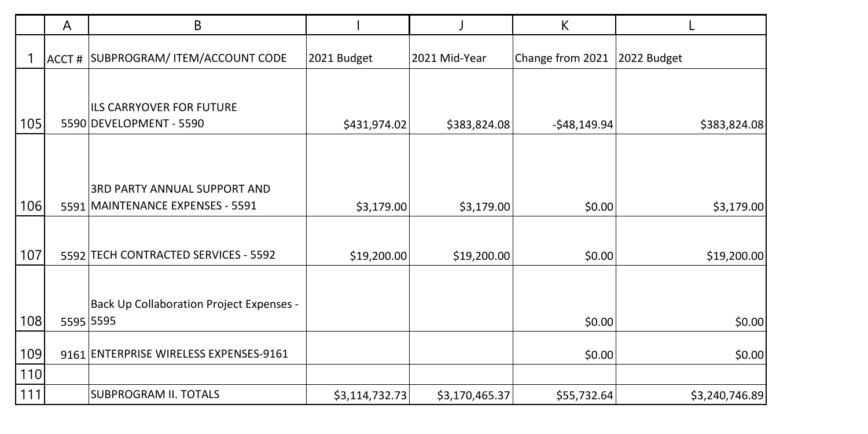|     | A     | B                                               |                |                | К                |                |
|-----|-------|-------------------------------------------------|----------------|----------------|------------------|----------------|
|     | ACCT# | SUBPROGRAM/ ITEM/ACCOUNT CODE                   | 2021 Budget    | 2021 Mid-Year  | Change from 2021 | 2022 Budget    |
|     |       |                                                 |                |                |                  |                |
|     |       | <b>ILS CARRYOVER FOR FUTURE</b>                 |                |                |                  |                |
| 105 |       | 5590 DEVELOPMENT - 5590                         | \$431,974.02   | \$383,824.08   | $-$48,149.94$    | \$383,824.08   |
|     |       |                                                 |                |                |                  |                |
|     |       |                                                 |                |                |                  |                |
|     |       | 3RD PARTY ANNUAL SUPPORT AND                    |                |                |                  |                |
| 106 |       | 5591 MAINTENANCE EXPENSES - 5591                | \$3,179.00     | \$3,179.00     | \$0.00           | \$3,179.00     |
|     |       |                                                 |                |                |                  |                |
| 107 |       | 5592 TECH CONTRACTED SERVICES - 5592            | \$19,200.00    | \$19,200.00    | \$0.00           | \$19,200.00    |
|     |       |                                                 |                |                |                  |                |
|     |       | <b>Back Up Collaboration Project Expenses -</b> |                |                |                  |                |
| 108 |       | 5595 5595                                       |                |                | \$0.00           | \$0.00         |
| 109 |       | 9161 ENTERPRISE WIRELESS EXPENSES-9161          |                |                | \$0.00           | \$0.00         |
| 110 |       |                                                 |                |                |                  |                |
| 111 |       | SUBPROGRAM II. TOTALS                           | \$3,114,732.73 | \$3,170,465.37 | \$55,732.64      | \$3,240,746.89 |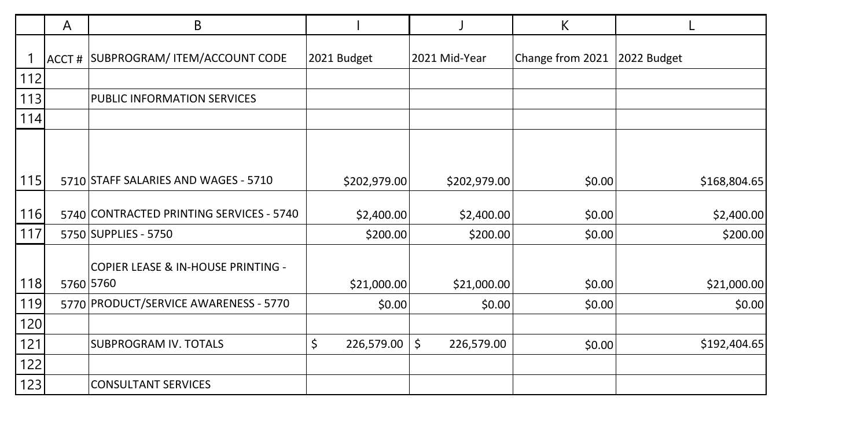|     | A | B                                               |                  |                  | K                |              |
|-----|---|-------------------------------------------------|------------------|------------------|------------------|--------------|
|     |   | ACCT # SUBPROGRAM/ ITEM/ACCOUNT CODE            | 2021 Budget      | 2021 Mid-Year    | Change from 2021 | 2022 Budget  |
| 112 |   |                                                 |                  |                  |                  |              |
| 113 |   | PUBLIC INFORMATION SERVICES                     |                  |                  |                  |              |
| 114 |   |                                                 |                  |                  |                  |              |
| 115 |   | 5710 STAFF SALARIES AND WAGES - 5710            | \$202,979.00     | \$202,979.00     | \$0.00           | \$168,804.65 |
|     |   |                                                 |                  |                  |                  |              |
| 116 |   | 5740 CONTRACTED PRINTING SERVICES - 5740        | \$2,400.00       | \$2,400.00       | \$0.00           | \$2,400.00   |
| 117 |   | 5750 SUPPLIES - 5750                            | \$200.00         | \$200.00         | \$0.00           | \$200.00     |
| 118 |   | COPIER LEASE & IN-HOUSE PRINTING -<br>5760 5760 | \$21,000.00      | \$21,000.00      | \$0.00           | \$21,000.00  |
| 119 |   | 5770 PRODUCT/SERVICE AWARENESS - 5770           | \$0.00           | \$0.00           | \$0.00           | \$0.00       |
| 120 |   |                                                 |                  |                  |                  |              |
| 121 |   | SUBPROGRAM IV. TOTALS                           | \$<br>226,579.00 | \$<br>226,579.00 | \$0.00           | \$192,404.65 |
| 122 |   |                                                 |                  |                  |                  |              |
| 123 |   | <b>CONSULTANT SERVICES</b>                      |                  |                  |                  |              |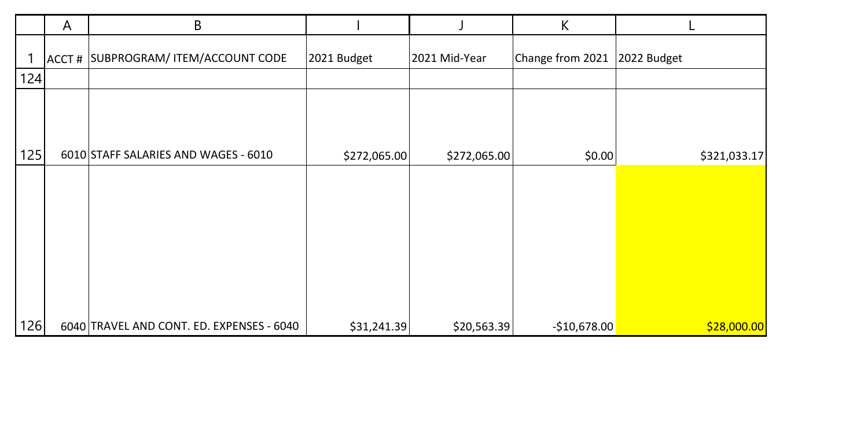|     | A | B                                         |              |               | К                |              |
|-----|---|-------------------------------------------|--------------|---------------|------------------|--------------|
|     |   | ACCT # SUBPROGRAM/ ITEM/ACCOUNT CODE      | 2021 Budget  | 2021 Mid-Year | Change from 2021 | 2022 Budget  |
| 124 |   |                                           |              |               |                  |              |
| 125 |   | 6010 STAFF SALARIES AND WAGES - 6010      | \$272,065.00 | \$272,065.00  | \$0.00           | \$321,033.17 |
|     |   |                                           |              |               |                  |              |
|     |   |                                           |              |               |                  |              |
| 126 |   | 6040 TRAVEL AND CONT. ED. EXPENSES - 6040 | \$31,241.39  | \$20,563.39   | $-$10,678.00$    | \$28,000.00  |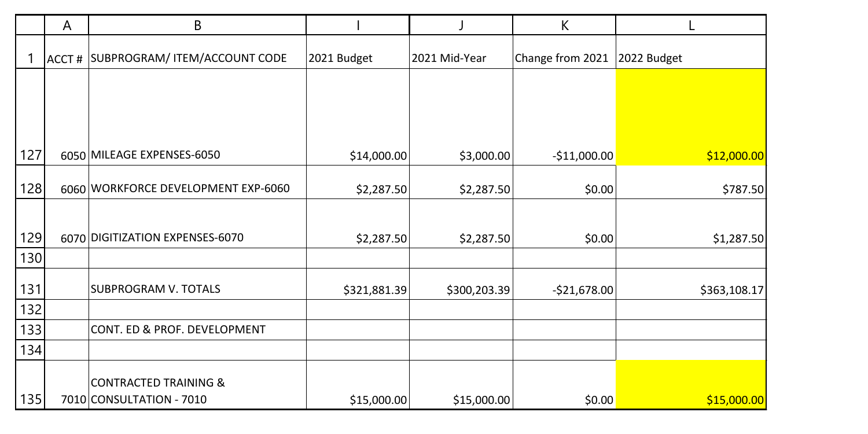|     | A     | B                                   |              |               | К                |              |
|-----|-------|-------------------------------------|--------------|---------------|------------------|--------------|
|     | ACCT# | SUBPROGRAM/ ITEM/ACCOUNT CODE       | 2021 Budget  | 2021 Mid-Year | Change from 2021 | 2022 Budget  |
|     |       |                                     |              |               |                  |              |
|     |       |                                     |              |               |                  |              |
|     |       |                                     |              |               |                  |              |
| 127 |       | 6050 MILEAGE EXPENSES-6050          | \$14,000.00  | \$3,000.00    | $-$11,000.00$    | \$12,000.00  |
| 128 |       | 6060 WORKFORCE DEVELOPMENT EXP-6060 | \$2,287.50   | \$2,287.50    | \$0.00           | \$787.50     |
|     |       |                                     |              |               |                  |              |
| 129 |       | 6070 DIGITIZATION EXPENSES-6070     | \$2,287.50   | \$2,287.50    | \$0.00           | \$1,287.50   |
| 130 |       |                                     |              |               |                  |              |
| 131 |       | <b>SUBPROGRAM V. TOTALS</b>         | \$321,881.39 | \$300,203.39  | $-$21,678.00$    | \$363,108.17 |
| 132 |       |                                     |              |               |                  |              |
| 133 |       | CONT. ED & PROF. DEVELOPMENT        |              |               |                  |              |
| 134 |       |                                     |              |               |                  |              |
|     |       | <b>CONTRACTED TRAINING &amp;</b>    |              |               |                  |              |
| 135 |       | 7010 CONSULTATION - 7010            | \$15,000.00  | \$15,000.00   | \$0.00           | \$15,000.00  |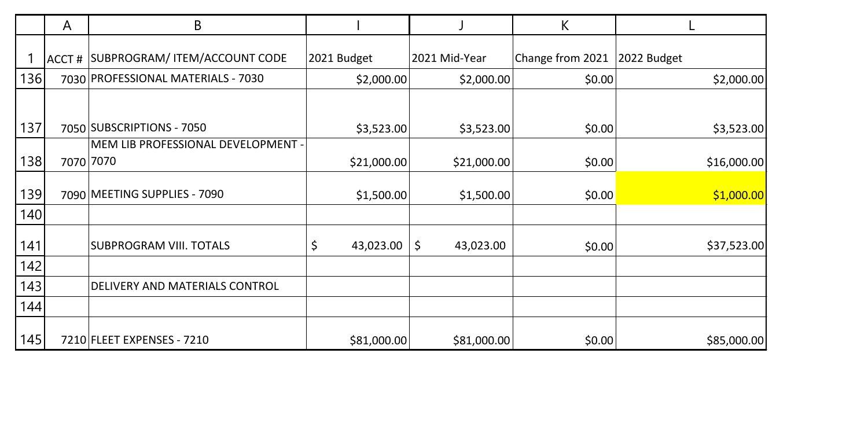|     | A     | В                                  |                 |                 | К                |             |
|-----|-------|------------------------------------|-----------------|-----------------|------------------|-------------|
|     | ACCT# | SUBPROGRAM/ ITEM/ACCOUNT CODE      | 2021 Budget     | 2021 Mid-Year   | Change from 2021 | 2022 Budget |
| 136 |       | 7030 PROFESSIONAL MATERIALS - 7030 | \$2,000.00      | \$2,000.00      | \$0.00           | \$2,000.00] |
| 137 |       | 7050 SUBSCRIPTIONS - 7050          |                 |                 |                  |             |
|     |       | MEM LIB PROFESSIONAL DEVELOPMENT - | \$3,523.00      | \$3,523.00      | \$0.00           | \$3,523.00  |
| 138 |       | 7070 7070                          | \$21,000.00     | \$21,000.00     | \$0.00           | \$16,000.00 |
| 139 |       | 7090 MEETING SUPPLIES - 7090       | \$1,500.00      | \$1,500.00      | \$0.00           | \$1,000.00  |
| 140 |       |                                    |                 |                 |                  |             |
| 141 |       | SUBPROGRAM VIII. TOTALS            | \$<br>43,023.00 | \$<br>43,023.00 | \$0.00           | \$37,523.00 |
| 142 |       |                                    |                 |                 |                  |             |
| 143 |       | DELIVERY AND MATERIALS CONTROL     |                 |                 |                  |             |
| 144 |       |                                    |                 |                 |                  |             |
| 145 |       | 7210 FLEET EXPENSES - 7210         | \$81,000.00     | \$81,000.00     | \$0.00           | \$85,000.00 |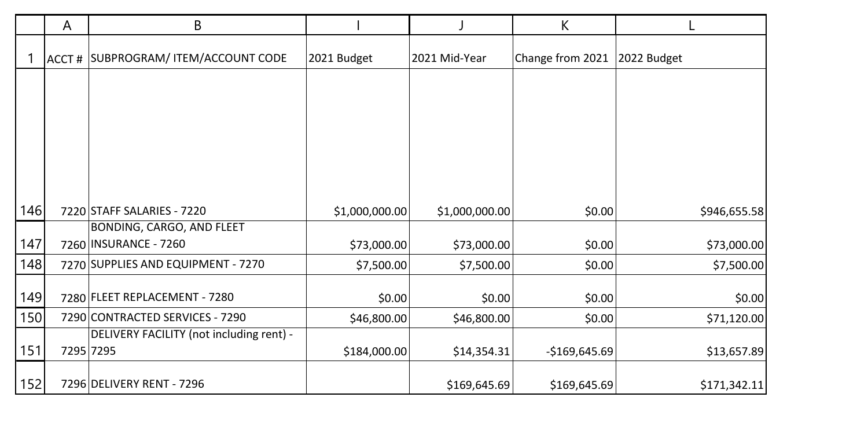|     | A | B                                        |                |                | К                |              |
|-----|---|------------------------------------------|----------------|----------------|------------------|--------------|
|     |   | ACCT # SUBPROGRAM/ ITEM/ACCOUNT CODE     | 2021 Budget    | 2021 Mid-Year  | Change from 2021 | 2022 Budget  |
|     |   |                                          |                |                |                  |              |
|     |   |                                          |                |                |                  |              |
|     |   |                                          |                |                |                  |              |
|     |   |                                          |                |                |                  |              |
|     |   |                                          |                |                |                  |              |
| 146 |   | 7220 STAFF SALARIES - 7220               | \$1,000,000.00 | \$1,000,000.00 | \$0.00           | \$946,655.58 |
|     |   | BONDING, CARGO, AND FLEET                |                |                |                  |              |
| 147 |   | 7260 INSURANCE - 7260                    | \$73,000.00    | \$73,000.00    | \$0.00           | \$73,000.00  |
| 148 |   | 7270 SUPPLIES AND EQUIPMENT - 7270       | \$7,500.00     | \$7,500.00     | \$0.00           | \$7,500.00   |
|     |   |                                          |                |                |                  |              |
| 149 |   | 7280 FLEET REPLACEMENT - 7280            | \$0.00         | \$0.00         | \$0.00           | \$0.00       |
| 150 |   | 7290 CONTRACTED SERVICES - 7290          | \$46,800.00    | \$46,800.00    | \$0.00           | \$71,120.00  |
|     |   | DELIVERY FACILITY (not including rent) - |                |                |                  |              |
| 151 |   | 7295 7295                                | \$184,000.00   | \$14,354.31    | $-$169,645.69$   | \$13,657.89  |
|     |   |                                          |                |                |                  |              |
| 152 |   | 7296 DELIVERY RENT - 7296                |                | \$169,645.69   | \$169,645.69     | \$171,342.11 |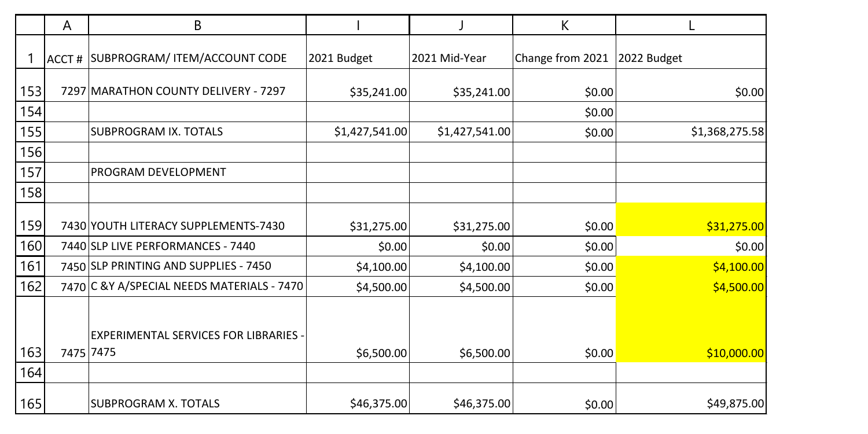|     | A         | В                                           |                |                | К                |                |
|-----|-----------|---------------------------------------------|----------------|----------------|------------------|----------------|
|     |           | ACCT # SUBPROGRAM/ ITEM/ACCOUNT CODE        | 2021 Budget    | 2021 Mid-Year  | Change from 2021 | 2022 Budget    |
| 153 |           | 7297 MARATHON COUNTY DELIVERY - 7297        | \$35,241.00    | \$35,241.00    | \$0.00           | \$0.00         |
| 154 |           |                                             |                |                | \$0.00           |                |
| 155 |           | SUBPROGRAM IX. TOTALS                       | \$1,427,541.00 | \$1,427,541.00 | \$0.00           | \$1,368,275.58 |
| 156 |           |                                             |                |                |                  |                |
| 157 |           | PROGRAM DEVELOPMENT                         |                |                |                  |                |
| 158 |           |                                             |                |                |                  |                |
| 159 |           | 7430 YOUTH LITERACY SUPPLEMENTS-7430        | \$31,275.00    | \$31,275.00    | \$0.00           | \$31,275.00    |
| 160 |           | 7440 SLP LIVE PERFORMANCES - 7440           | \$0.00         | \$0.00         | \$0.00           | \$0.00         |
| 161 |           | 7450 SLP PRINTING AND SUPPLIES - 7450       | \$4,100.00     | \$4,100.00     | \$0.00           | \$4,100.00     |
| 162 |           | 7470 C & Y A/SPECIAL NEEDS MATERIALS - 7470 | \$4,500.00     | \$4,500.00     | \$0.00           | \$4,500.00     |
|     |           | EXPERIMENTAL SERVICES FOR LIBRARIES -       |                |                |                  |                |
| 163 | 7475 7475 |                                             | \$6,500.00     | \$6,500.00     | \$0.00           | \$10,000.00    |
| 164 |           |                                             |                |                |                  |                |
| 165 |           | <b>SUBPROGRAM X. TOTALS</b>                 | \$46,375.00    | \$46,375.00    | \$0.00           | \$49,875.00    |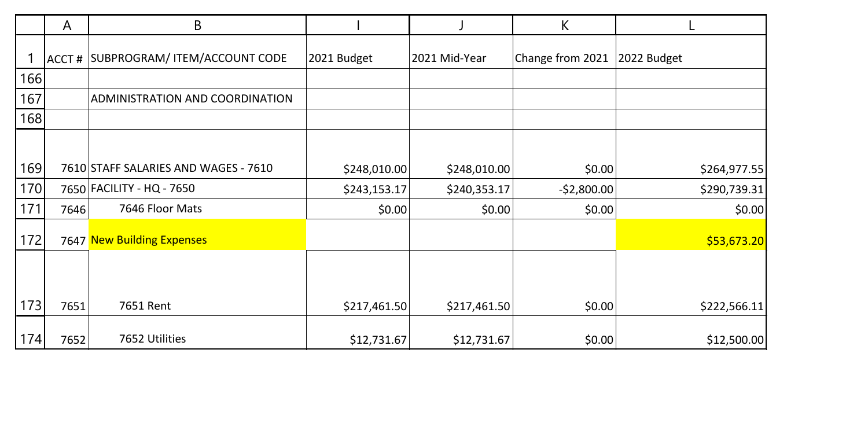|     | A     | В                                    |              |               | К                |              |
|-----|-------|--------------------------------------|--------------|---------------|------------------|--------------|
|     | ACCT# | SUBPROGRAM/ ITEM/ACCOUNT CODE        | 2021 Budget  | 2021 Mid-Year | Change from 2021 | 2022 Budget  |
| 166 |       |                                      |              |               |                  |              |
| 167 |       | ADMINISTRATION AND COORDINATION      |              |               |                  |              |
| 168 |       |                                      |              |               |                  |              |
|     |       |                                      |              |               |                  |              |
| 169 |       | 7610 STAFF SALARIES AND WAGES - 7610 | \$248,010.00 | \$248,010.00  | \$0.00           | \$264,977.55 |
| 170 |       | 7650 FACILITY - HQ - 7650            | \$243,153.17 | \$240,353.17  | $-$2,800.00$     | \$290,739.31 |
| 171 | 7646  | 7646 Floor Mats                      | \$0.00       | \$0.00        | \$0.00           | \$0.00       |
| 172 |       | 7647 New Building Expenses           |              |               |                  | \$53,673.20  |
|     |       |                                      |              |               |                  |              |
| 173 | 7651  | 7651 Rent                            | \$217,461.50 | \$217,461.50  | \$0.00           | \$222,566.11 |
| 174 | 7652  | 7652 Utilities                       | \$12,731.67  | \$12,731.67   | \$0.00           | \$12,500.00  |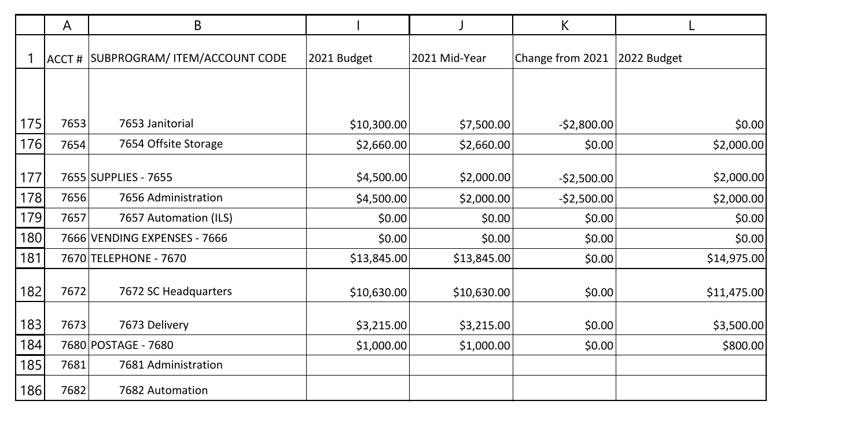|     | A    | B                                    |             |               | К                |             |
|-----|------|--------------------------------------|-------------|---------------|------------------|-------------|
|     |      | ACCT # SUBPROGRAM/ ITEM/ACCOUNT CODE | 2021 Budget | 2021 Mid-Year | Change from 2021 | 2022 Budget |
|     |      |                                      |             |               |                  |             |
| 175 | 7653 | 7653 Janitorial                      | \$10,300.00 | \$7,500.00    | $-$2,800.00$     | \$0.00      |
| 176 | 7654 | 7654 Offsite Storage                 | \$2,660.00  | \$2,660.00    | \$0.00           | \$2,000.00] |
| 177 |      | 7655 SUPPLIES - 7655                 | \$4,500.00  | \$2,000.00    | $-$2,500.00$     | \$2,000.00  |
| 178 | 7656 | 7656 Administration                  | \$4,500.00  | \$2,000.00    | $-$2,500.00$     | \$2,000.00  |
| 179 | 7657 | 7657 Automation (ILS)                | \$0.00      | \$0.00        | \$0.00           | \$0.00      |
| 180 |      | 7666 VENDING EXPENSES - 7666         | \$0.00      | \$0.00        | \$0.00           | \$0.00      |
| 181 |      | 7670 TELEPHONE - 7670                | \$13,845.00 | \$13,845.00   | \$0.00           | \$14,975.00 |
| 182 | 7672 | 7672 SC Headquarters                 | \$10,630.00 | \$10,630.00   | \$0.00           | \$11,475.00 |
| 183 | 7673 | 7673 Delivery                        | \$3,215.00  | \$3,215.00    | \$0.00           | \$3,500.00  |
| 184 |      | 7680 POSTAGE - 7680                  | \$1,000.00  | \$1,000.00    | \$0.00           | \$800.00    |
| 185 | 7681 | 7681 Administration                  |             |               |                  |             |
| 186 | 7682 | 7682 Automation                      |             |               |                  |             |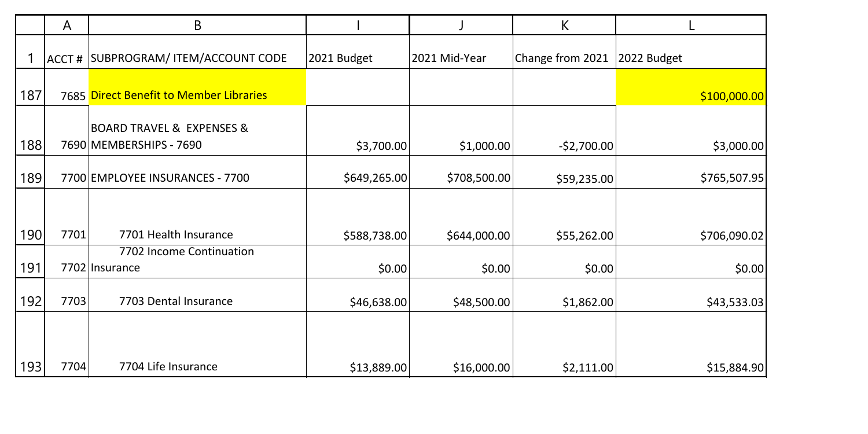|     | A     | В                                                                   |              |               | К                |              |
|-----|-------|---------------------------------------------------------------------|--------------|---------------|------------------|--------------|
|     | ACCT# | SUBPROGRAM/ ITEM/ACCOUNT CODE                                       | 2021 Budget  | 2021 Mid-Year | Change from 2021 | 2022 Budget  |
| 187 |       | 7685 Direct Benefit to Member Libraries                             |              |               |                  | \$100,000.00 |
| 188 |       | <b>BOARD TRAVEL &amp; EXPENSES &amp;</b><br>7690 MEMBERSHIPS - 7690 | \$3,700.00   | \$1,000.00    | $-$2,700.00$     | \$3,000.00   |
| 189 |       | 7700 EMPLOYEE INSURANCES - 7700                                     | \$649,265.00 | \$708,500.00  | \$59,235.00      | \$765,507.95 |
|     |       |                                                                     |              |               |                  |              |
| 190 | 7701  | 7701 Health Insurance                                               | \$588,738.00 | \$644,000.00  | \$55,262.00      | \$706,090.02 |
| 191 |       | 7702 Income Continuation<br>7702 Insurance                          | \$0.00       | \$0.00        | \$0.00           | \$0.00       |
| 192 | 7703  | 7703 Dental Insurance                                               | \$46,638.00  | \$48,500.00   | \$1,862.00       | \$43,533.03  |
|     |       |                                                                     |              |               |                  |              |
| 193 | 7704  | 7704 Life Insurance                                                 | \$13,889.00  | \$16,000.00   | \$2,111.00       | \$15,884.90  |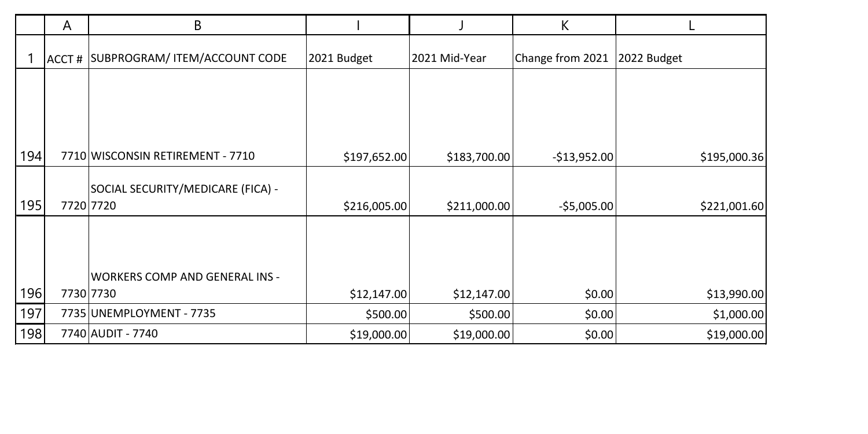|     | A     | В                                     |              |               | К                |              |
|-----|-------|---------------------------------------|--------------|---------------|------------------|--------------|
|     | ACCT# | SUBPROGRAM/ ITEM/ACCOUNT CODE         | 2021 Budget  | 2021 Mid-Year | Change from 2021 | 2022 Budget  |
|     |       |                                       |              |               |                  |              |
|     |       |                                       |              |               |                  |              |
|     |       |                                       |              |               |                  |              |
| 194 |       | 7710 WISCONSIN RETIREMENT - 7710      | \$197,652.00 | \$183,700.00  | $-$13,952.00$    | \$195,000.36 |
|     |       | SOCIAL SECURITY/MEDICARE (FICA) -     |              |               |                  |              |
| 195 |       | 7720 7720                             | \$216,005.00 | \$211,000.00  | $-$5,005.00$     | \$221,001.60 |
|     |       | <b>WORKERS COMP AND GENERAL INS -</b> |              |               |                  |              |
| 196 |       | 7730 7730                             | \$12,147.00  | \$12,147.00   | \$0.00           | \$13,990.00  |
| 197 |       | 7735 UNEMPLOYMENT - 7735              | \$500.00     | \$500.00      | \$0.00           | \$1,000.00   |
| 198 |       | 7740 AUDIT - 7740                     | \$19,000.00  | \$19,000.00   | \$0.00           | \$19,000.00  |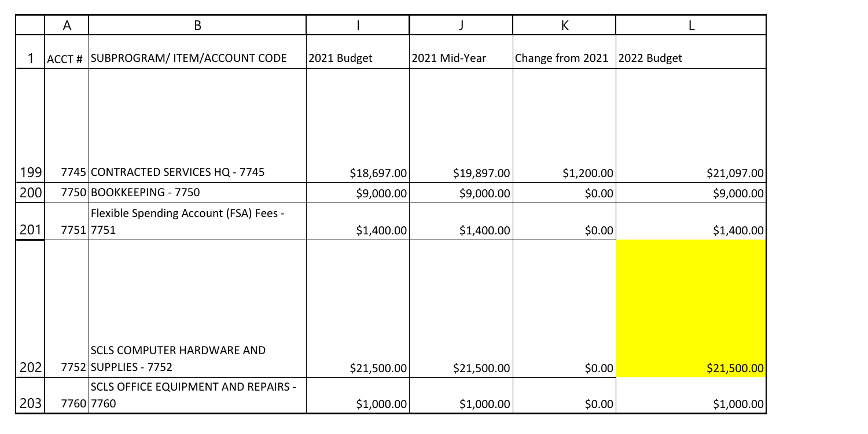|     | A | B                                          |             |               | К                |             |
|-----|---|--------------------------------------------|-------------|---------------|------------------|-------------|
|     |   | ACCT # SUBPROGRAM/ ITEM/ACCOUNT CODE       | 2021 Budget | 2021 Mid-Year | Change from 2021 | 2022 Budget |
|     |   |                                            |             |               |                  |             |
|     |   |                                            |             |               |                  |             |
|     |   |                                            |             |               |                  |             |
| 199 |   | 7745 CONTRACTED SERVICES HQ - 7745         | \$18,697.00 | \$19,897.00   | \$1,200.00       | \$21,097.00 |
| 200 |   | 7750 BOOKKEEPING - 7750                    | \$9,000.00  | \$9,000.00    | \$0.00           | \$9,000.00  |
|     |   | Flexible Spending Account (FSA) Fees -     |             |               |                  |             |
| 201 |   | 7751 7751                                  | \$1,400.00  | \$1,400.00    | \$0.00           | \$1,400.00  |
|     |   |                                            |             |               |                  |             |
|     |   |                                            |             |               |                  |             |
|     |   |                                            |             |               |                  |             |
|     |   |                                            |             |               |                  |             |
|     |   |                                            |             |               |                  |             |
|     |   | <b>SCLS COMPUTER HARDWARE AND</b>          |             |               |                  |             |
| 202 |   | 7752 SUPPLIES - 7752                       | \$21,500.00 | \$21,500.00   | \$0.00           | \$21,500.00 |
|     |   | <b>SCLS OFFICE EQUIPMENT AND REPAIRS -</b> |             |               |                  |             |
| 203 |   | 7760 7760                                  | \$1,000.00  | \$1,000.00    | \$0.00           | \$1,000.00  |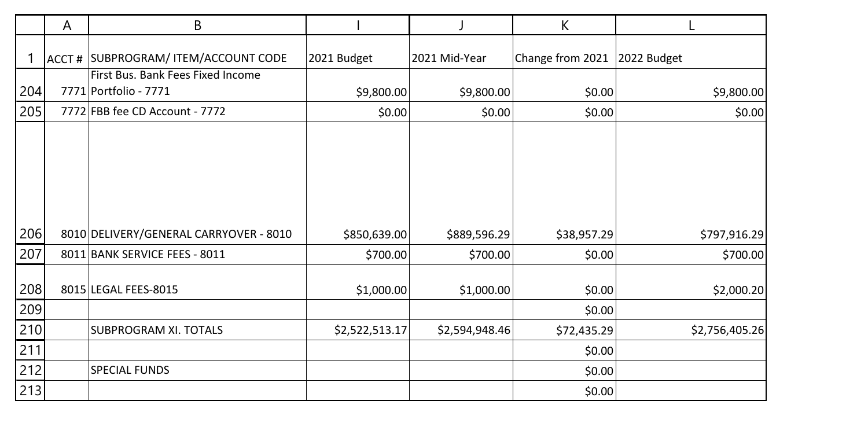|            | A | В                                                          |                |                | К                |                |
|------------|---|------------------------------------------------------------|----------------|----------------|------------------|----------------|
|            |   | ACCT # SUBPROGRAM/ ITEM/ACCOUNT CODE                       | 2021 Budget    | 2021 Mid-Year  | Change from 2021 | 2022 Budget    |
| 204        |   | First Bus. Bank Fees Fixed Income<br>7771 Portfolio - 7771 | \$9,800.00     | \$9,800.00     | \$0.00           | \$9,800.00     |
| 205        |   | 7772 FBB fee CD Account - 7772                             | \$0.00         | \$0.00         | \$0.00           | \$0.00         |
| 206        |   | 8010 DELIVERY/GENERAL CARRYOVER - 8010                     | \$850,639.00   | \$889,596.29   | \$38,957.29      | \$797,916.29   |
| 207        |   | 8011 BANK SERVICE FEES - 8011                              | \$700.00       | \$700.00       | \$0.00           | \$700.00       |
| 208<br>209 |   | 8015 LEGAL FEES-8015                                       | \$1,000.00     | \$1,000.00     | \$0.00<br>\$0.00 | \$2,000.20     |
| 210        |   | SUBPROGRAM XI. TOTALS                                      | \$2,522,513.17 | \$2,594,948.46 | \$72,435.29      | \$2,756,405.26 |
| 211        |   |                                                            |                |                | \$0.00           |                |
| 212        |   | <b>SPECIAL FUNDS</b>                                       |                |                | \$0.00           |                |
| 213        |   |                                                            |                |                | \$0.00           |                |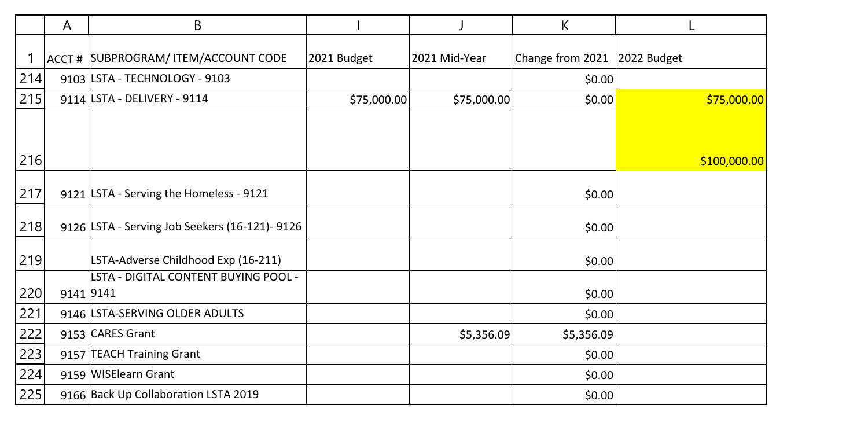|     | Α         | В                                              |             |               | K                |              |
|-----|-----------|------------------------------------------------|-------------|---------------|------------------|--------------|
|     |           | ACCT # SUBPROGRAM/ ITEM/ACCOUNT CODE           | 2021 Budget | 2021 Mid-Year | Change from 2021 | 2022 Budget  |
| 214 |           | 9103 LSTA - TECHNOLOGY - 9103                  |             |               | \$0.00           |              |
| 215 |           | 9114 LSTA - DELIVERY - 9114                    | \$75,000.00 | \$75,000.00   | \$0.00           | \$75,000.00  |
|     |           |                                                |             |               |                  |              |
| 216 |           |                                                |             |               |                  | \$100,000.00 |
| 217 |           | 9121 LSTA - Serving the Homeless - 9121        |             |               | \$0.00           |              |
| 218 |           | 9126 LSTA - Serving Job Seekers (16-121)- 9126 |             |               | \$0.00           |              |
| 219 |           | LSTA-Adverse Childhood Exp (16-211)            |             |               | \$0.00           |              |
|     |           | LSTA - DIGITAL CONTENT BUYING POOL -           |             |               |                  |              |
| 220 | 9141 9141 |                                                |             |               | \$0.00           |              |
| 221 |           | 9146 LSTA-SERVING OLDER ADULTS                 |             |               | \$0.00           |              |
| 222 |           | 9153 CARES Grant                               |             | \$5,356.09    | \$5,356.09       |              |
| 223 |           | 9157 TEACH Training Grant                      |             |               | \$0.00           |              |
| 224 |           | 9159 WISElearn Grant                           |             |               | \$0.00           |              |
| 225 |           | 9166 Back Up Collaboration LSTA 2019           |             |               | \$0.00           |              |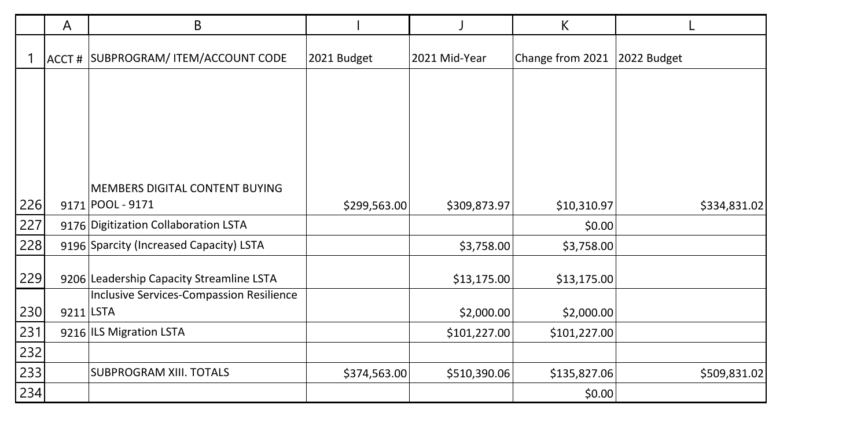|     | A         | B                                        |              |               | К                |              |
|-----|-----------|------------------------------------------|--------------|---------------|------------------|--------------|
|     |           | ACCT # SUBPROGRAM/ ITEM/ACCOUNT CODE     | 2021 Budget  | 2021 Mid-Year | Change from 2021 | 2022 Budget  |
|     |           |                                          |              |               |                  |              |
|     |           |                                          |              |               |                  |              |
|     |           |                                          |              |               |                  |              |
|     |           |                                          |              |               |                  |              |
|     |           | MEMBERS DIGITAL CONTENT BUYING           |              |               |                  |              |
| 226 |           | 9171 POOL - 9171                         | \$299,563.00 | \$309,873.97  | \$10,310.97      | \$334,831.02 |
| 227 |           | 9176 Digitization Collaboration LSTA     |              |               | \$0.00           |              |
| 228 |           | 9196 Sparcity (Increased Capacity) LSTA  |              | \$3,758.00    | \$3,758.00       |              |
| 229 |           | 9206 Leadership Capacity Streamline LSTA |              | \$13,175.00   | \$13,175.00      |              |
|     |           | Inclusive Services-Compassion Resilience |              |               |                  |              |
| 230 | 9211 LSTA |                                          |              | \$2,000.00    | \$2,000.00       |              |
| 231 |           | 9216 ILS Migration LSTA                  |              | \$101,227.00  | \$101,227.00     |              |
| 232 |           |                                          |              |               |                  |              |
| 233 |           | SUBPROGRAM XIII. TOTALS                  | \$374,563.00 | \$510,390.06  | \$135,827.06     | \$509,831.02 |
| 234 |           |                                          |              |               | \$0.00           |              |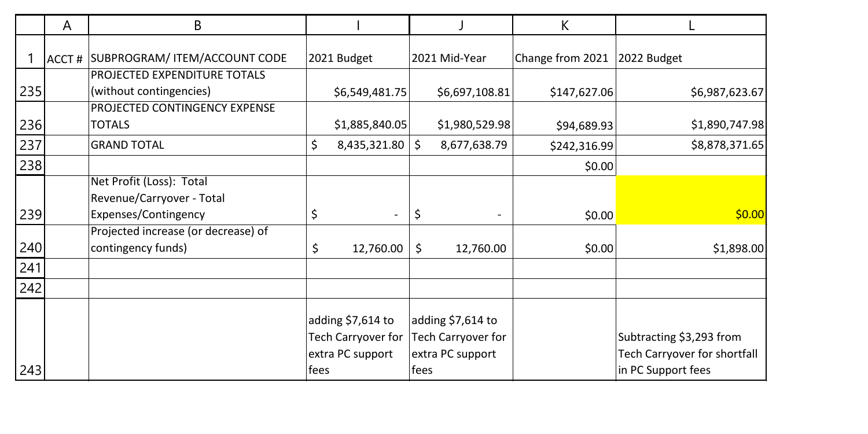|     | A | B                                                         |                                                             |                                                              | К                |                                                          |
|-----|---|-----------------------------------------------------------|-------------------------------------------------------------|--------------------------------------------------------------|------------------|----------------------------------------------------------|
|     |   | ACCT # SUBPROGRAM/ ITEM/ACCOUNT CODE                      | 2021 Budget                                                 | 2021 Mid-Year                                                | Change from 2021 | 2022 Budget                                              |
|     |   | PROJECTED EXPENDITURE TOTALS                              |                                                             |                                                              |                  |                                                          |
| 235 |   | (without contingencies)<br>PROJECTED CONTINGENCY EXPENSE  | \$6,549,481.75                                              | \$6,697,108.81                                               | \$147,627.06     | \$6,987,623.67                                           |
| 236 |   | TOTALS                                                    | \$1,885,840.05                                              | \$1,980,529.98                                               | \$94,689.93      | \$1,890,747.98                                           |
| 237 |   | <b>GRAND TOTAL</b>                                        | \$<br>8,435,321.80                                          | \$<br>8,677,638.79                                           | \$242,316.99     | \$8,878,371.65                                           |
| 238 |   |                                                           |                                                             |                                                              | \$0.00           |                                                          |
|     |   | Net Profit (Loss): Total<br>Revenue/Carryover - Total     |                                                             |                                                              |                  |                                                          |
| 239 |   | Expenses/Contingency                                      | \$                                                          | \$                                                           | \$0.00           | \$0.00                                                   |
| 240 |   | Projected increase (or decrease) of<br>contingency funds) | \$<br>12,760.00                                             | \$<br>12,760.00                                              | \$0.00           | \$1,898.00                                               |
| 241 |   |                                                           |                                                             |                                                              |                  |                                                          |
| 242 |   |                                                           |                                                             |                                                              |                  |                                                          |
|     |   |                                                           | adding \$7,614 to<br>Tech Carryover for<br>extra PC support | adding $$7,614$ to<br>Tech Carryover for<br>extra PC support |                  | Subtracting \$3,293 from<br>Tech Carryover for shortfall |
| 243 |   |                                                           | fees                                                        | fees                                                         |                  | in PC Support fees                                       |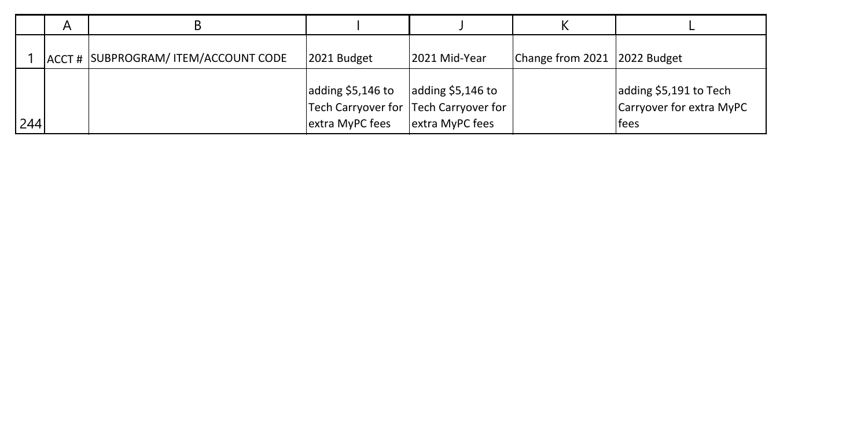|     | А |                                      |                                      |                                                                                |                              |                                                             |
|-----|---|--------------------------------------|--------------------------------------|--------------------------------------------------------------------------------|------------------------------|-------------------------------------------------------------|
|     |   | ACCT # SUBPROGRAM/ ITEM/ACCOUNT CODE | 2021 Budget                          | 2021 Mid-Year                                                                  | Change from 2021 2022 Budget |                                                             |
| 244 |   |                                      | adding \$5,146 to<br>extra MyPC fees | adding $$5,146$ to<br>Tech Carryover for Tech Carryover for<br>extra MyPC fees |                              | adding \$5,191 to Tech<br>Carryover for extra MyPC<br>lfees |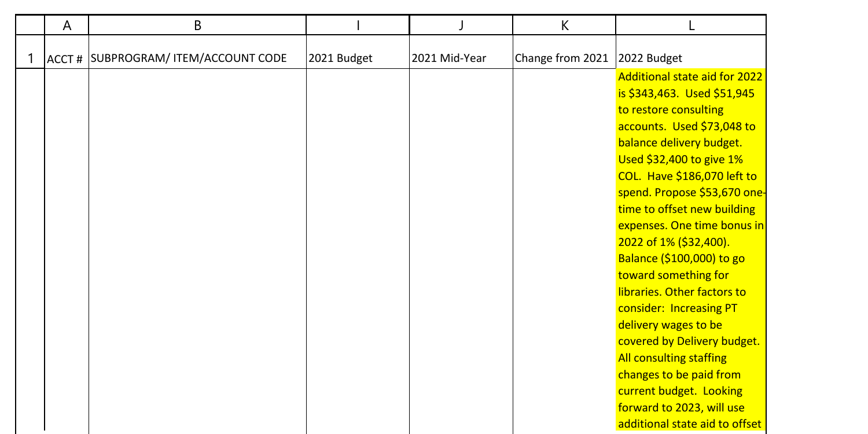|   | A | B                                    |             |               | K                |                                |
|---|---|--------------------------------------|-------------|---------------|------------------|--------------------------------|
|   |   |                                      |             |               |                  |                                |
| 1 |   | ACCT # SUBPROGRAM/ ITEM/ACCOUNT CODE | 2021 Budget | 2021 Mid-Year | Change from 2021 | 2022 Budget                    |
|   |   |                                      |             |               |                  | Additional state aid for 2022  |
|   |   |                                      |             |               |                  | is \$343,463. Used \$51,945    |
|   |   |                                      |             |               |                  | to restore consulting          |
|   |   |                                      |             |               |                  | accounts. Used \$73,048 to     |
|   |   |                                      |             |               |                  | balance delivery budget.       |
|   |   |                                      |             |               |                  | Used \$32,400 to give 1%       |
|   |   |                                      |             |               |                  | COL. Have \$186,070 left to    |
|   |   |                                      |             |               |                  | spend. Propose \$53,670 one-   |
|   |   |                                      |             |               |                  | time to offset new building    |
|   |   |                                      |             |               |                  | expenses. One time bonus in    |
|   |   |                                      |             |               |                  | 2022 of 1% (\$32,400).         |
|   |   |                                      |             |               |                  | Balance (\$100,000) to go      |
|   |   |                                      |             |               |                  | toward something for           |
|   |   |                                      |             |               |                  | libraries. Other factors to    |
|   |   |                                      |             |               |                  | consider: Increasing PT        |
|   |   |                                      |             |               |                  | delivery wages to be           |
|   |   |                                      |             |               |                  | covered by Delivery budget.    |
|   |   |                                      |             |               |                  | All consulting staffing        |
|   |   |                                      |             |               |                  | changes to be paid from        |
|   |   |                                      |             |               |                  | current budget. Looking        |
|   |   |                                      |             |               |                  | forward to 2023, will use      |
|   |   |                                      |             |               |                  | additional state aid to offset |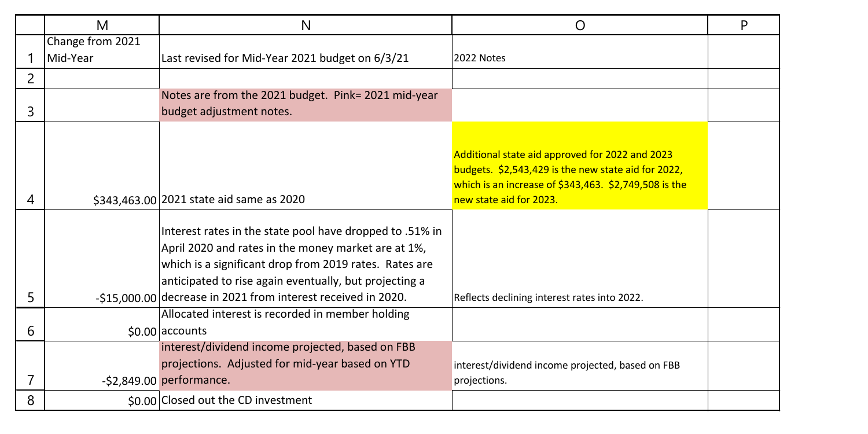|   | M                | N                                                             | O                                                        | P |
|---|------------------|---------------------------------------------------------------|----------------------------------------------------------|---|
|   | Change from 2021 |                                                               |                                                          |   |
|   | Mid-Year         | Last revised for Mid-Year 2021 budget on 6/3/21               | 2022 Notes                                               |   |
| 2 |                  |                                                               |                                                          |   |
|   |                  | Notes are from the 2021 budget. Pink= 2021 mid-year           |                                                          |   |
| 3 |                  | budget adjustment notes.                                      |                                                          |   |
|   |                  |                                                               |                                                          |   |
|   |                  |                                                               | Additional state aid approved for 2022 and 2023          |   |
|   |                  |                                                               | budgets. \$2,543,429 is the new state aid for 2022,      |   |
|   |                  |                                                               | which is an increase of $$343,463$ . $$2,749,508$ is the |   |
| 4 |                  | \$343,463.00 2021 state aid same as 2020                      | new state aid for 2023.                                  |   |
|   |                  |                                                               |                                                          |   |
|   |                  | Interest rates in the state pool have dropped to .51% in      |                                                          |   |
|   |                  | April 2020 and rates in the money market are at 1%,           |                                                          |   |
|   |                  | which is a significant drop from 2019 rates. Rates are        |                                                          |   |
|   |                  | anticipated to rise again eventually, but projecting a        |                                                          |   |
| 5 |                  | -\$15,000,00 decrease in 2021 from interest received in 2020. | Reflects declining interest rates into 2022.             |   |
|   |                  | Allocated interest is recorded in member holding              |                                                          |   |
| 6 |                  | \$0.00 accounts                                               |                                                          |   |
|   |                  | interest/dividend income projected, based on FBB              |                                                          |   |
|   |                  | projections. Adjusted for mid-year based on YTD               | interest/dividend income projected, based on FBB         |   |
|   |                  | $-52,849.00$ performance.                                     | projections.                                             |   |
| 8 |                  | \$0.00 Closed out the CD investment                           |                                                          |   |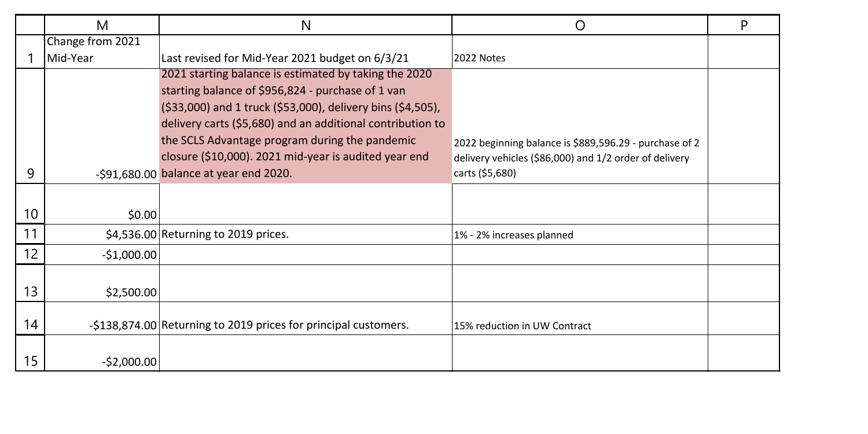|    | M                | N                                                               | Ω                                                      | P |
|----|------------------|-----------------------------------------------------------------|--------------------------------------------------------|---|
|    | Change from 2021 |                                                                 |                                                        |   |
|    | Mid-Year         | Last revised for Mid-Year 2021 budget on 6/3/21                 | 2022 Notes                                             |   |
|    |                  | 2021 starting balance is estimated by taking the 2020           |                                                        |   |
|    |                  | starting balance of \$956,824 - purchase of 1 van               |                                                        |   |
|    |                  | (\$33,000) and 1 truck (\$53,000), delivery bins (\$4,505),     |                                                        |   |
|    |                  | delivery carts (\$5,680) and an additional contribution to      |                                                        |   |
|    |                  | the SCLS Advantage program during the pandemic                  | 2022 beginning balance is \$889,596.29 - purchase of 2 |   |
|    |                  | closure (\$10,000). 2021 mid-year is audited year end           | delivery vehicles (\$86,000) and 1/2 order of delivery |   |
| 9  |                  | $-591,680.00$ balance at year end 2020.                         | carts (\$5,680)                                        |   |
|    |                  |                                                                 |                                                        |   |
| 10 | \$0.00           |                                                                 |                                                        |   |
| 11 |                  | \$4,536.00 Returning to 2019 prices.                            |                                                        |   |
|    |                  |                                                                 | 1% - 2% increases planned                              |   |
| 12 | $-$1,000.00$     |                                                                 |                                                        |   |
|    |                  |                                                                 |                                                        |   |
| 13 | \$2,500.00       |                                                                 |                                                        |   |
|    |                  |                                                                 |                                                        |   |
| 14 |                  | -\$138,874.00 Returning to 2019 prices for principal customers. | 15% reduction in UW Contract                           |   |
|    |                  |                                                                 |                                                        |   |
| 15 | $-$2,000.00$     |                                                                 |                                                        |   |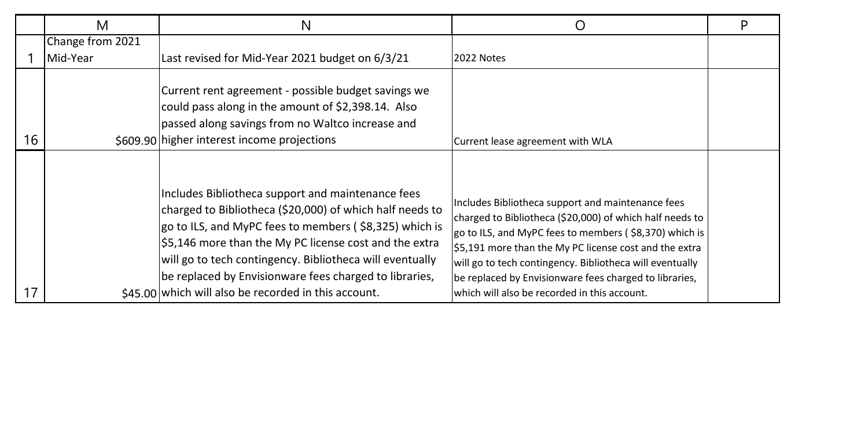|    | M                            | N                                                                                                                                                                                                                                                                                                                                                                   |                                                                                                                                                                                                                                                                                                                                                         | D |
|----|------------------------------|---------------------------------------------------------------------------------------------------------------------------------------------------------------------------------------------------------------------------------------------------------------------------------------------------------------------------------------------------------------------|---------------------------------------------------------------------------------------------------------------------------------------------------------------------------------------------------------------------------------------------------------------------------------------------------------------------------------------------------------|---|
|    | Change from 2021<br>Mid-Year | Last revised for Mid-Year 2021 budget on 6/3/21                                                                                                                                                                                                                                                                                                                     | 2022 Notes                                                                                                                                                                                                                                                                                                                                              |   |
| 16 |                              | Current rent agreement - possible budget savings we<br>could pass along in the amount of \$2,398.14. Also<br>passed along savings from no Waltco increase and<br>\$609.90 higher interest income projections                                                                                                                                                        | Current lease agreement with WLA                                                                                                                                                                                                                                                                                                                        |   |
|    |                              | Includes Bibliotheca support and maintenance fees<br>charged to Bibliotheca (\$20,000) of which half needs to<br>go to ILS, and MyPC fees to members (\$8,325) which is<br>$\frac{1}{2}$ 5,146 more than the My PC license cost and the extra<br>will go to tech contingency. Bibliotheca will eventually<br>be replaced by Envisionware fees charged to libraries, | Includes Bibliotheca support and maintenance fees<br>charged to Bibliotheca (\$20,000) of which half needs to<br>go to ILS, and MyPC fees to members (\$8,370) which is<br>\$5,191 more than the My PC license cost and the extra<br>will go to tech contingency. Bibliotheca will eventually<br>be replaced by Envisionware fees charged to libraries, |   |
| 17 |                              | $$45.00$ which will also be recorded in this account.                                                                                                                                                                                                                                                                                                               | which will also be recorded in this account.                                                                                                                                                                                                                                                                                                            |   |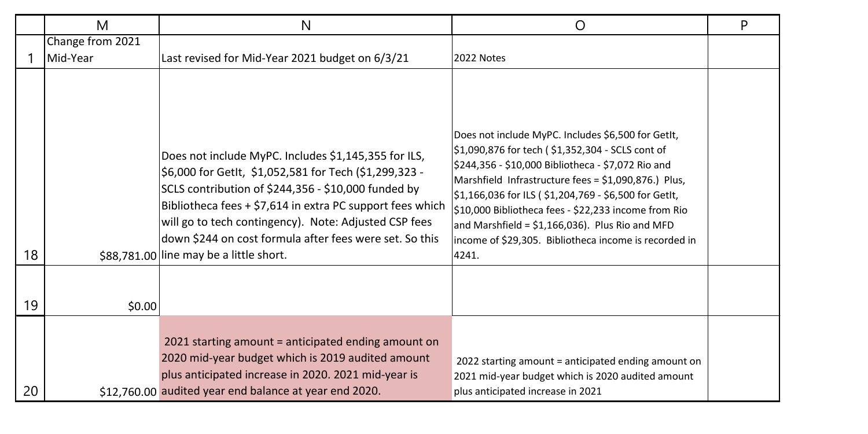|    | M                | N                                                                                                                                                                                                                                                                                                                                                                                                 | O                                                                                                                                                                                                                                                                                                                                                                                                                                                            | P |
|----|------------------|---------------------------------------------------------------------------------------------------------------------------------------------------------------------------------------------------------------------------------------------------------------------------------------------------------------------------------------------------------------------------------------------------|--------------------------------------------------------------------------------------------------------------------------------------------------------------------------------------------------------------------------------------------------------------------------------------------------------------------------------------------------------------------------------------------------------------------------------------------------------------|---|
|    | Change from 2021 |                                                                                                                                                                                                                                                                                                                                                                                                   |                                                                                                                                                                                                                                                                                                                                                                                                                                                              |   |
|    | Mid-Year         | Last revised for Mid-Year 2021 budget on 6/3/21                                                                                                                                                                                                                                                                                                                                                   | 2022 Notes                                                                                                                                                                                                                                                                                                                                                                                                                                                   |   |
| 18 |                  | Does not include MyPC. Includes \$1,145,355 for ILS,<br>\$6,000 for GetIt, \$1,052,581 for Tech (\$1,299,323 -<br>SCLS contribution of \$244,356 - \$10,000 funded by<br>Bibliotheca fees + \$7,614 in extra PC support fees which<br>will go to tech contingency). Note: Adjusted CSP fees<br>down \$244 on cost formula after fees were set. So this<br>\$88.781.00 line may be a little short. | Does not include MyPC. Includes \$6,500 for GetIt,<br>\$1,090,876 for tech (\$1,352,304 - SCLS cont of<br>\$244,356 - \$10,000 Bibliotheca - \$7,072 Rio and<br>Marshfield Infrastructure fees = \$1,090,876.) Plus,<br>\$1,166,036 for ILS (\$1,204,769 - \$6,500 for GetIt,<br>\$10,000 Bibliotheca fees - \$22,233 income from Rio<br>and Marshfield = $$1,166,036$ ). Plus Rio and MFD<br>income of \$29,305. Bibliotheca income is recorded in<br>4241. |   |
| 19 | \$0.00           |                                                                                                                                                                                                                                                                                                                                                                                                   |                                                                                                                                                                                                                                                                                                                                                                                                                                                              |   |
| 20 |                  | 2021 starting amount = anticipated ending amount on<br>2020 mid-year budget which is 2019 audited amount<br>plus anticipated increase in 2020. 2021 mid-year is<br>\$12,760.00 audited year end balance at year end 2020.                                                                                                                                                                         | 2022 starting amount = anticipated ending amount on<br>2021 mid-year budget which is 2020 audited amount<br>plus anticipated increase in 2021                                                                                                                                                                                                                                                                                                                |   |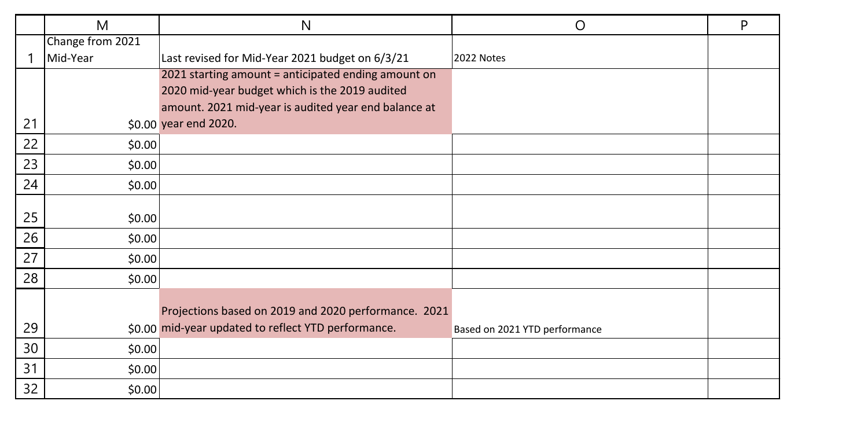|    | M                | N                                                    | O                             | P |
|----|------------------|------------------------------------------------------|-------------------------------|---|
|    | Change from 2021 |                                                      |                               |   |
|    | Mid-Year         | Last revised for Mid-Year 2021 budget on 6/3/21      | 2022 Notes                    |   |
|    |                  | 2021 starting amount = anticipated ending amount on  |                               |   |
|    |                  | 2020 mid-year budget which is the 2019 audited       |                               |   |
|    |                  | amount. 2021 mid-year is audited year end balance at |                               |   |
| 21 |                  | \$0.00 year end 2020.                                |                               |   |
| 22 | \$0.00           |                                                      |                               |   |
| 23 | \$0.00           |                                                      |                               |   |
| 24 | \$0.00           |                                                      |                               |   |
|    |                  |                                                      |                               |   |
| 25 | \$0.00           |                                                      |                               |   |
| 26 | \$0.00           |                                                      |                               |   |
| 27 | \$0.00           |                                                      |                               |   |
| 28 | \$0.00           |                                                      |                               |   |
|    |                  |                                                      |                               |   |
|    |                  | Projections based on 2019 and 2020 performance. 2021 |                               |   |
| 29 |                  | \$0.00 mid-year updated to reflect YTD performance.  | Based on 2021 YTD performance |   |
| 30 | \$0.00           |                                                      |                               |   |
| 31 | \$0.00           |                                                      |                               |   |
| 32 | \$0.00           |                                                      |                               |   |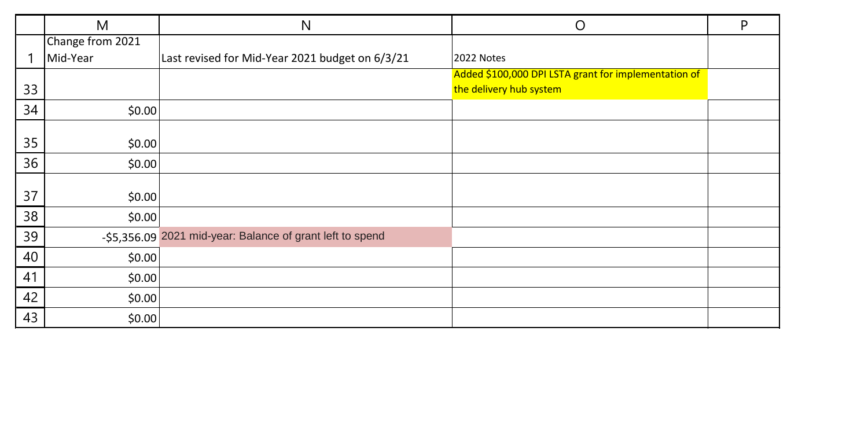|    | M                | N                                                         | O                                                                               | P |
|----|------------------|-----------------------------------------------------------|---------------------------------------------------------------------------------|---|
|    | Change from 2021 |                                                           |                                                                                 |   |
|    | Mid-Year         | Last revised for Mid-Year 2021 budget on 6/3/21           | 2022 Notes                                                                      |   |
| 33 |                  |                                                           | Added \$100,000 DPI LSTA grant for implementation of<br>the delivery hub system |   |
| 34 | \$0.00           |                                                           |                                                                                 |   |
| 35 | \$0.00           |                                                           |                                                                                 |   |
| 36 | \$0.00           |                                                           |                                                                                 |   |
| 37 | \$0.00           |                                                           |                                                                                 |   |
| 38 | \$0.00           |                                                           |                                                                                 |   |
| 39 |                  | -\$5,356.09 2021 mid-year: Balance of grant left to spend |                                                                                 |   |
| 40 | \$0.00           |                                                           |                                                                                 |   |
| 41 | \$0.00           |                                                           |                                                                                 |   |
| 42 | \$0.00           |                                                           |                                                                                 |   |
| 43 | \$0.00           |                                                           |                                                                                 |   |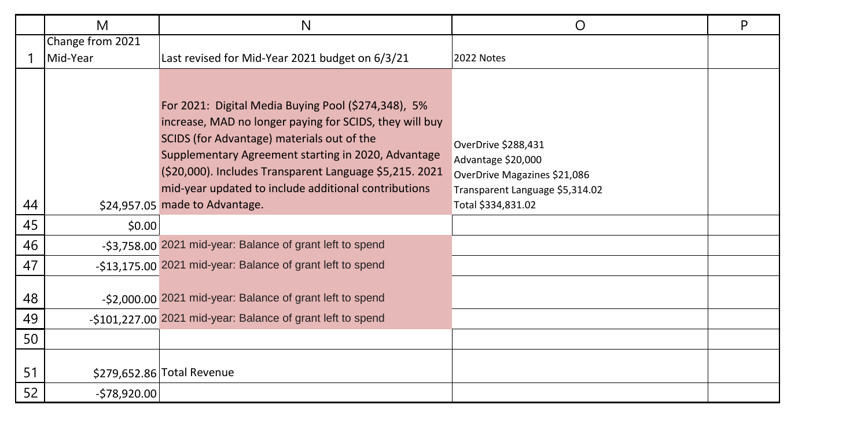|          | M                | N                                                                                                                                                                                                                                                                                                                                                                        | O                                                                                                                                  | P |
|----------|------------------|--------------------------------------------------------------------------------------------------------------------------------------------------------------------------------------------------------------------------------------------------------------------------------------------------------------------------------------------------------------------------|------------------------------------------------------------------------------------------------------------------------------------|---|
|          | Change from 2021 |                                                                                                                                                                                                                                                                                                                                                                          |                                                                                                                                    |   |
|          | Mid-Year         | Last revised for Mid-Year 2021 budget on 6/3/21                                                                                                                                                                                                                                                                                                                          | 2022 Notes                                                                                                                         |   |
| 44       |                  | For 2021: Digital Media Buying Pool (\$274,348), 5%<br>increase, MAD no longer paying for SCIDS, they will buy<br>SCIDS (for Advantage) materials out of the<br>Supplementary Agreement starting in 2020, Advantage<br>(\$20,000). Includes Transparent Language \$5,215. 2021<br>mid-year updated to include additional contributions<br>\$24,957.05 made to Advantage. | OverDrive \$288,431<br>Advantage \$20,000<br>OverDrive Magazines \$21,086<br>Transparent Language \$5,314.02<br>Total \$334,831.02 |   |
| 45       | \$0.00           |                                                                                                                                                                                                                                                                                                                                                                          |                                                                                                                                    |   |
| 46       |                  | -\$3,758.00 2021 mid-year: Balance of grant left to spend                                                                                                                                                                                                                                                                                                                |                                                                                                                                    |   |
| 47       |                  | -\$13,175.00 2021 mid-year: Balance of grant left to spend                                                                                                                                                                                                                                                                                                               |                                                                                                                                    |   |
| 48<br>49 |                  | -\$2,000.00 2021 mid-year: Balance of grant left to spend<br>-\$101,227.00 2021 mid-year: Balance of grant left to spend                                                                                                                                                                                                                                                 |                                                                                                                                    |   |
| 50       |                  |                                                                                                                                                                                                                                                                                                                                                                          |                                                                                                                                    |   |
| 51<br>52 | $-578,920.00$    | \$279,652.86 Total Revenue                                                                                                                                                                                                                                                                                                                                               |                                                                                                                                    |   |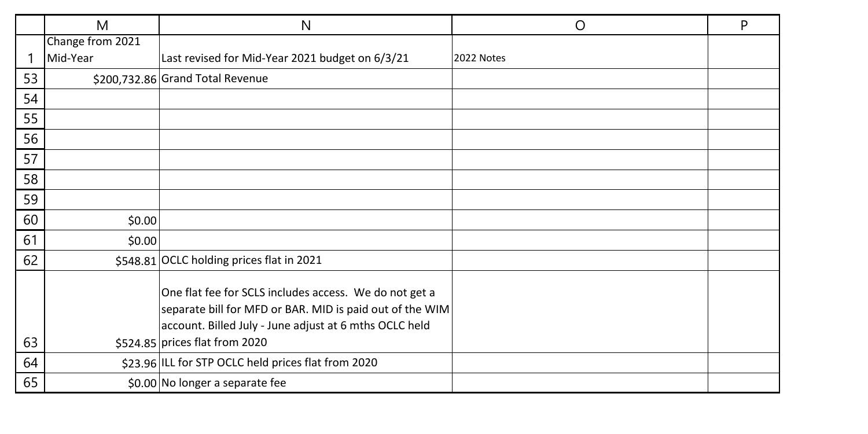|    | M                | N                                                                                                                                                                            | O          | P |
|----|------------------|------------------------------------------------------------------------------------------------------------------------------------------------------------------------------|------------|---|
|    | Change from 2021 |                                                                                                                                                                              |            |   |
|    | Mid-Year         | Last revised for Mid-Year 2021 budget on 6/3/21                                                                                                                              | 2022 Notes |   |
| 53 |                  | \$200,732.86 Grand Total Revenue                                                                                                                                             |            |   |
| 54 |                  |                                                                                                                                                                              |            |   |
| 55 |                  |                                                                                                                                                                              |            |   |
| 56 |                  |                                                                                                                                                                              |            |   |
| 57 |                  |                                                                                                                                                                              |            |   |
| 58 |                  |                                                                                                                                                                              |            |   |
| 59 |                  |                                                                                                                                                                              |            |   |
| 60 | \$0.00           |                                                                                                                                                                              |            |   |
| 61 | \$0.00           |                                                                                                                                                                              |            |   |
| 62 |                  | \$548.81 OCLC holding prices flat in 2021                                                                                                                                    |            |   |
|    |                  | One flat fee for SCLS includes access. We do not get a<br>separate bill for MFD or BAR. MID is paid out of the WIM<br>account. Billed July - June adjust at 6 mths OCLC held |            |   |
| 63 |                  | \$524.85 prices flat from 2020                                                                                                                                               |            |   |
| 64 |                  | \$23.96 ILL for STP OCLC held prices flat from 2020                                                                                                                          |            |   |
| 65 |                  | \$0.00 No longer a separate fee                                                                                                                                              |            |   |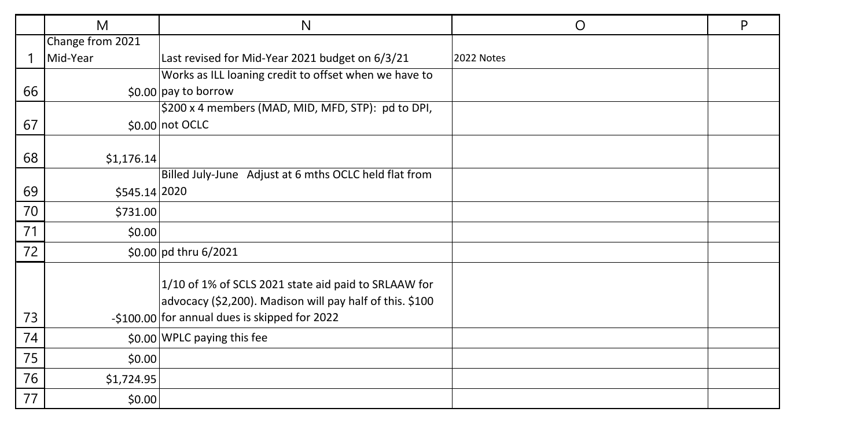|    | M                | N                                                                                                                                                                 | O          | P |
|----|------------------|-------------------------------------------------------------------------------------------------------------------------------------------------------------------|------------|---|
|    | Change from 2021 |                                                                                                                                                                   |            |   |
| 1  | Mid-Year         | Last revised for Mid-Year 2021 budget on 6/3/21                                                                                                                   | 2022 Notes |   |
|    |                  | Works as ILL loaning credit to offset when we have to                                                                                                             |            |   |
| 66 |                  | $$0.00$ pay to borrow                                                                                                                                             |            |   |
|    |                  | \$200 x 4 members (MAD, MID, MFD, STP): pd to DPI,                                                                                                                |            |   |
| 67 |                  | \$0.00 not OCLC                                                                                                                                                   |            |   |
|    |                  |                                                                                                                                                                   |            |   |
| 68 | \$1,176.14       |                                                                                                                                                                   |            |   |
|    |                  | Billed July-June Adjust at 6 mths OCLC held flat from                                                                                                             |            |   |
| 69 | \$545.14 2020    |                                                                                                                                                                   |            |   |
| 70 | \$731.00         |                                                                                                                                                                   |            |   |
| 71 | \$0.00           |                                                                                                                                                                   |            |   |
| 72 |                  | \$0.00 pd thru 6/2021                                                                                                                                             |            |   |
| 73 |                  | 1/10 of 1% of SCLS 2021 state aid paid to SRLAAW for<br>advocacy (\$2,200). Madison will pay half of this. \$100<br>-\$100.00 for annual dues is skipped for 2022 |            |   |
| 74 |                  | \$0.00 WPLC paying this fee                                                                                                                                       |            |   |
| 75 | \$0.00           |                                                                                                                                                                   |            |   |
| 76 | \$1,724.95       |                                                                                                                                                                   |            |   |
| 77 | \$0.00           |                                                                                                                                                                   |            |   |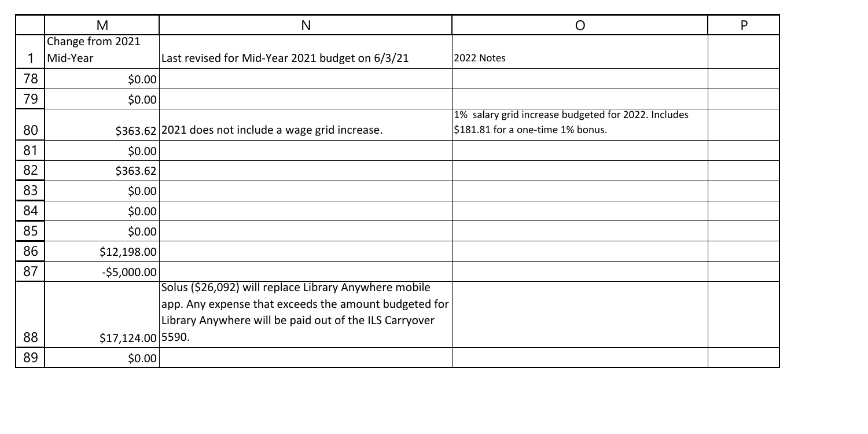|    | M                 | N                                                                                                                                                                        | O                                                                                        | P |
|----|-------------------|--------------------------------------------------------------------------------------------------------------------------------------------------------------------------|------------------------------------------------------------------------------------------|---|
|    | Change from 2021  |                                                                                                                                                                          |                                                                                          |   |
|    | Mid-Year          | Last revised for Mid-Year 2021 budget on 6/3/21                                                                                                                          | 2022 Notes                                                                               |   |
| 78 | \$0.00            |                                                                                                                                                                          |                                                                                          |   |
| 79 | \$0.00            |                                                                                                                                                                          |                                                                                          |   |
| 80 |                   | \$363.62 2021 does not include a wage grid increase.                                                                                                                     | 1% salary grid increase budgeted for 2022. Includes<br>\$181.81 for a one-time 1% bonus. |   |
| 81 | \$0.00            |                                                                                                                                                                          |                                                                                          |   |
| 82 | \$363.62          |                                                                                                                                                                          |                                                                                          |   |
| 83 | \$0.00            |                                                                                                                                                                          |                                                                                          |   |
| 84 | \$0.00            |                                                                                                                                                                          |                                                                                          |   |
| 85 | \$0.00            |                                                                                                                                                                          |                                                                                          |   |
| 86 | \$12,198.00       |                                                                                                                                                                          |                                                                                          |   |
| 87 | $-$5,000.00$      |                                                                                                                                                                          |                                                                                          |   |
|    |                   | Solus (\$26,092) will replace Library Anywhere mobile<br>app. Any expense that exceeds the amount budgeted for<br>Library Anywhere will be paid out of the ILS Carryover |                                                                                          |   |
| 88 | \$17,124.00 5590. |                                                                                                                                                                          |                                                                                          |   |
| 89 | \$0.00            |                                                                                                                                                                          |                                                                                          |   |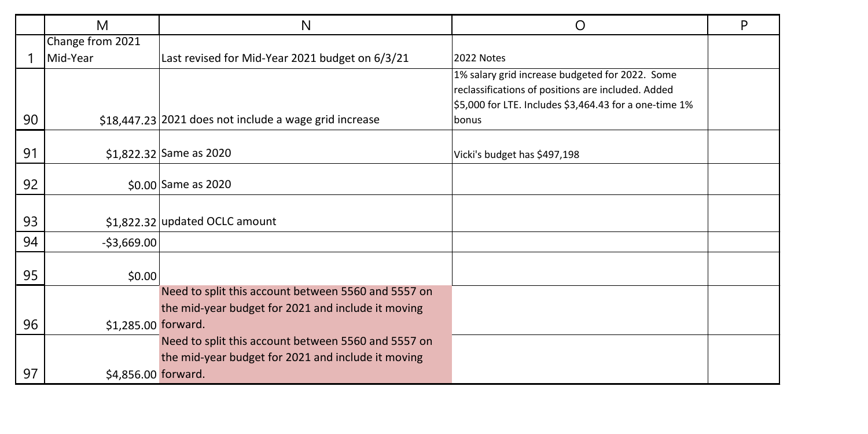|    | M                   | N                                                      | O                                                                                                     | P |
|----|---------------------|--------------------------------------------------------|-------------------------------------------------------------------------------------------------------|---|
|    | Change from 2021    |                                                        |                                                                                                       |   |
|    | Mid-Year            | Last revised for Mid-Year 2021 budget on 6/3/21        | 2022 Notes                                                                                            |   |
|    |                     |                                                        | 1% salary grid increase budgeted for 2022. Some<br>reclassifications of positions are included. Added |   |
|    |                     |                                                        | \$5,000 for LTE. Includes \$3,464.43 for a one-time 1%                                                |   |
| 90 |                     | \$18,447.23 2021 does not include a wage grid increase | bonus                                                                                                 |   |
| 91 |                     | \$1,822.32 Same as 2020                                | Vicki's budget has \$497,198                                                                          |   |
|    |                     |                                                        |                                                                                                       |   |
| 92 |                     | \$0.00 Same as 2020                                    |                                                                                                       |   |
|    |                     |                                                        |                                                                                                       |   |
| 93 |                     | \$1,822.32 updated OCLC amount                         |                                                                                                       |   |
| 94 | $-53,669.00$        |                                                        |                                                                                                       |   |
| 95 | \$0.00              |                                                        |                                                                                                       |   |
|    |                     | Need to split this account between 5560 and 5557 on    |                                                                                                       |   |
|    |                     | the mid-year budget for 2021 and include it moving     |                                                                                                       |   |
| 96 | \$1,285.00 forward. |                                                        |                                                                                                       |   |
|    |                     | Need to split this account between 5560 and 5557 on    |                                                                                                       |   |
|    |                     | the mid-year budget for 2021 and include it moving     |                                                                                                       |   |
| 97 | \$4,856.00 forward. |                                                        |                                                                                                       |   |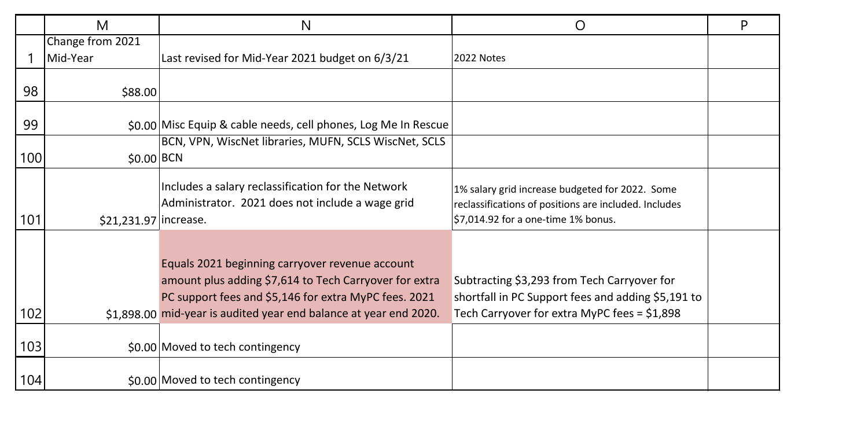|     | М                     | N                                                                                                                                                                                                                                       | O                                                                                                                                                 | P |
|-----|-----------------------|-----------------------------------------------------------------------------------------------------------------------------------------------------------------------------------------------------------------------------------------|---------------------------------------------------------------------------------------------------------------------------------------------------|---|
|     | Change from 2021      |                                                                                                                                                                                                                                         |                                                                                                                                                   |   |
|     | Mid-Year              | Last revised for Mid-Year 2021 budget on 6/3/21                                                                                                                                                                                         | 2022 Notes                                                                                                                                        |   |
|     |                       |                                                                                                                                                                                                                                         |                                                                                                                                                   |   |
| 98  | \$88.00               |                                                                                                                                                                                                                                         |                                                                                                                                                   |   |
| 99  |                       | \$0.00 Misc Equip & cable needs, cell phones, Log Me In Rescue                                                                                                                                                                          |                                                                                                                                                   |   |
|     |                       | BCN, VPN, WiscNet libraries, MUFN, SCLS WiscNet, SCLS                                                                                                                                                                                   |                                                                                                                                                   |   |
| 100 | \$0.00 BCN            |                                                                                                                                                                                                                                         |                                                                                                                                                   |   |
| 101 | \$21,231.97 increase. | Includes a salary reclassification for the Network<br>Administrator. 2021 does not include a wage grid                                                                                                                                  | 1% salary grid increase budgeted for 2022. Some<br>reclassifications of positions are included. Includes<br>\$7,014.92 for a one-time 1% bonus.   |   |
| 102 |                       | Equals 2021 beginning carryover revenue account<br>amount plus adding \$7,614 to Tech Carryover for extra<br>PC support fees and \$5,146 for extra MyPC fees. 2021<br>\$1,898.00 mid-year is audited year end balance at year end 2020. | Subtracting \$3,293 from Tech Carryover for<br>shortfall in PC Support fees and adding \$5,191 to<br>Tech Carryover for extra MyPC fees = \$1,898 |   |
|     |                       |                                                                                                                                                                                                                                         |                                                                                                                                                   |   |
| 103 |                       | \$0.00 Moved to tech contingency                                                                                                                                                                                                        |                                                                                                                                                   |   |
| 104 |                       | \$0.00 Moved to tech contingency                                                                                                                                                                                                        |                                                                                                                                                   |   |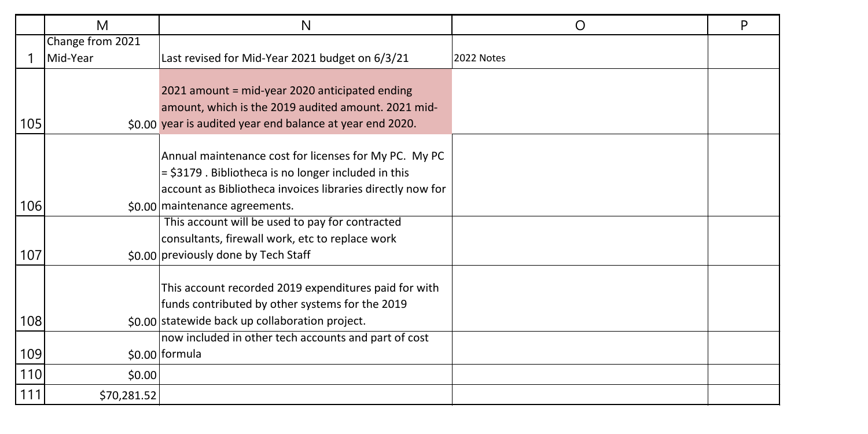|     | M                | N                                                          | Ω          | P |
|-----|------------------|------------------------------------------------------------|------------|---|
|     | Change from 2021 |                                                            |            |   |
|     | Mid-Year         | Last revised for Mid-Year 2021 budget on 6/3/21            | 2022 Notes |   |
|     |                  |                                                            |            |   |
|     |                  | 2021 amount = mid-year 2020 anticipated ending             |            |   |
|     |                  | amount, which is the 2019 audited amount. 2021 mid-        |            |   |
| 105 |                  | \$0.00 year is audited year end balance at year end 2020.  |            |   |
|     |                  |                                                            |            |   |
|     |                  | Annual maintenance cost for licenses for My PC. My PC      |            |   |
|     |                  | $=$ \$3179. Bibliotheca is no longer included in this      |            |   |
|     |                  | account as Bibliotheca invoices libraries directly now for |            |   |
| 106 |                  | \$0.00 maintenance agreements.                             |            |   |
|     |                  | This account will be used to pay for contracted            |            |   |
|     |                  | consultants, firewall work, etc to replace work            |            |   |
| 107 |                  | \$0.00 previously done by Tech Staff                       |            |   |
|     |                  |                                                            |            |   |
|     |                  | This account recorded 2019 expenditures paid for with      |            |   |
|     |                  | funds contributed by other systems for the 2019            |            |   |
| 108 |                  | \$0.00 statewide back up collaboration project.            |            |   |
|     |                  | now included in other tech accounts and part of cost       |            |   |
| 109 |                  | \$0.00 formula                                             |            |   |
| 110 | \$0.00           |                                                            |            |   |
| 111 | \$70,281.52      |                                                            |            |   |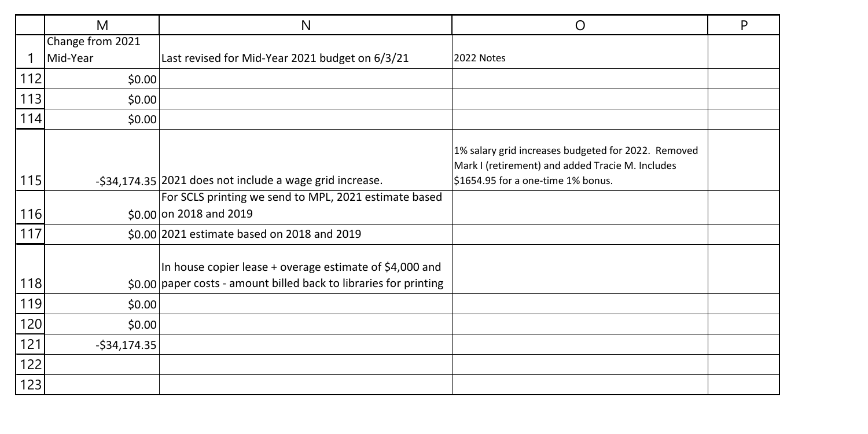|       | M                | N                                                                                                                                          | O                                                                                                                                             | P |
|-------|------------------|--------------------------------------------------------------------------------------------------------------------------------------------|-----------------------------------------------------------------------------------------------------------------------------------------------|---|
|       | Change from 2021 |                                                                                                                                            |                                                                                                                                               |   |
|       | Mid-Year         | Last revised for Mid-Year 2021 budget on 6/3/21                                                                                            | 2022 Notes                                                                                                                                    |   |
| $112$ | \$0.00           |                                                                                                                                            |                                                                                                                                               |   |
| 113   | \$0.00           |                                                                                                                                            |                                                                                                                                               |   |
| 114   | \$0.00           |                                                                                                                                            |                                                                                                                                               |   |
| 115   |                  | -\$34,174.35 2021 does not include a wage grid increase.                                                                                   | 1% salary grid increases budgeted for 2022. Removed<br>Mark I (retirement) and added Tracie M. Includes<br>\$1654.95 for a one-time 1% bonus. |   |
|       |                  |                                                                                                                                            |                                                                                                                                               |   |
| 116   |                  | For SCLS printing we send to MPL, 2021 estimate based<br>\$0.00 on 2018 and 2019                                                           |                                                                                                                                               |   |
| 117   |                  | \$0.00 2021 estimate based on 2018 and 2019                                                                                                |                                                                                                                                               |   |
| 118   |                  | In house copier lease + overage estimate of \$4,000 and<br>$\frac{1}{2}$ \$0.00 paper costs - amount billed back to libraries for printing |                                                                                                                                               |   |
| 119   | \$0.00           |                                                                                                                                            |                                                                                                                                               |   |
| 120   | \$0.00           |                                                                                                                                            |                                                                                                                                               |   |
| 121   | $-534, 174.35$   |                                                                                                                                            |                                                                                                                                               |   |
| 122   |                  |                                                                                                                                            |                                                                                                                                               |   |
| 123   |                  |                                                                                                                                            |                                                                                                                                               |   |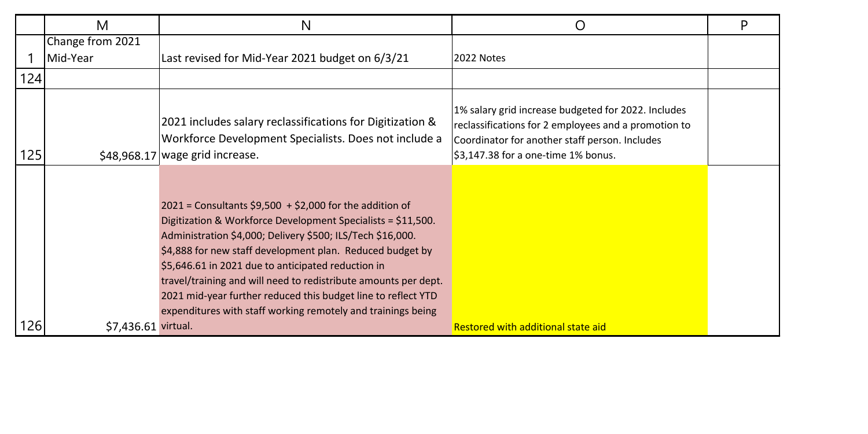|     | М                   | N                                                                                                                                                                                                                                                                                                                                                                                                                                                                                                               | Ő                                                                                                                                                                                                    | P |
|-----|---------------------|-----------------------------------------------------------------------------------------------------------------------------------------------------------------------------------------------------------------------------------------------------------------------------------------------------------------------------------------------------------------------------------------------------------------------------------------------------------------------------------------------------------------|------------------------------------------------------------------------------------------------------------------------------------------------------------------------------------------------------|---|
|     | Change from 2021    |                                                                                                                                                                                                                                                                                                                                                                                                                                                                                                                 |                                                                                                                                                                                                      |   |
|     | Mid-Year            | Last revised for Mid-Year 2021 budget on 6/3/21                                                                                                                                                                                                                                                                                                                                                                                                                                                                 | 2022 Notes                                                                                                                                                                                           |   |
| 124 |                     |                                                                                                                                                                                                                                                                                                                                                                                                                                                                                                                 |                                                                                                                                                                                                      |   |
| 125 |                     | 2021 includes salary reclassifications for Digitization &<br>Workforce Development Specialists. Does not include a<br>$$48,968.17$ wage grid increase.                                                                                                                                                                                                                                                                                                                                                          | 1% salary grid increase budgeted for 2022. Includes<br>reclassifications for 2 employees and a promotion to<br>Coordinator for another staff person. Includes<br>\$3,147.38 for a one-time 1% bonus. |   |
|     |                     | $2021$ = Consultants \$9,500 + \$2,000 for the addition of<br>Digitization & Workforce Development Specialists = \$11,500.<br>Administration \$4,000; Delivery \$500; ILS/Tech \$16,000.<br>\$4,888 for new staff development plan. Reduced budget by<br>\$5,646.61 in 2021 due to anticipated reduction in<br>travel/training and will need to redistribute amounts per dept.<br>2021 mid-year further reduced this budget line to reflect YTD<br>expenditures with staff working remotely and trainings being |                                                                                                                                                                                                      |   |
| 126 | \$7.436.61 virtual. |                                                                                                                                                                                                                                                                                                                                                                                                                                                                                                                 | Restored with additional state aid                                                                                                                                                                   |   |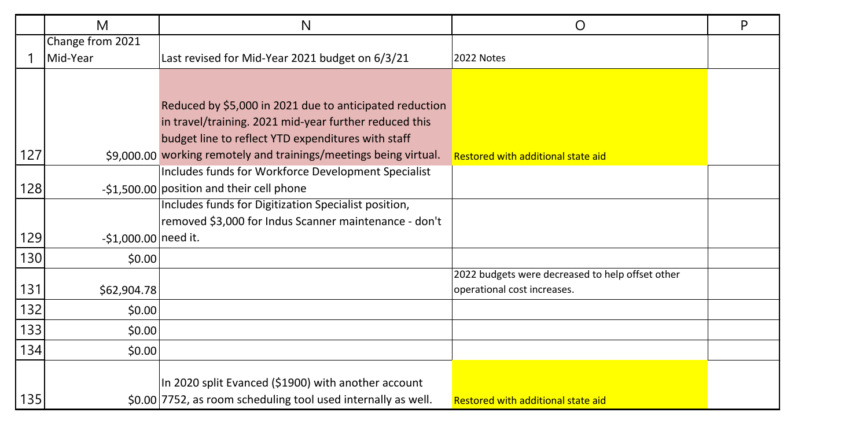|     | M                    | N                                                                 | O                                                | P |
|-----|----------------------|-------------------------------------------------------------------|--------------------------------------------------|---|
|     | Change from 2021     |                                                                   |                                                  |   |
|     | Mid-Year             | Last revised for Mid-Year 2021 budget on 6/3/21                   | 2022 Notes                                       |   |
|     |                      |                                                                   |                                                  |   |
|     |                      | Reduced by \$5,000 in 2021 due to anticipated reduction           |                                                  |   |
|     |                      | in travel/training. 2021 mid-year further reduced this            |                                                  |   |
|     |                      | budget line to reflect YTD expenditures with staff                |                                                  |   |
| 127 |                      | \$9,000.00 working remotely and trainings/meetings being virtual. | Restored with additional state aid               |   |
|     |                      | Includes funds for Workforce Development Specialist               |                                                  |   |
| 128 |                      | -\$1,500.00 position and their cell phone                         |                                                  |   |
|     |                      | Includes funds for Digitization Specialist position,              |                                                  |   |
|     |                      | removed \$3,000 for Indus Scanner maintenance - don't             |                                                  |   |
| 129 | -\$1,000.00 need it. |                                                                   |                                                  |   |
| 130 | \$0.00               |                                                                   |                                                  |   |
|     |                      |                                                                   | 2022 budgets were decreased to help offset other |   |
| 131 | \$62,904.78          |                                                                   | operational cost increases.                      |   |
| 132 | \$0.00               |                                                                   |                                                  |   |
| 133 | \$0.00               |                                                                   |                                                  |   |
| 134 | \$0.00               |                                                                   |                                                  |   |
|     |                      |                                                                   |                                                  |   |
|     |                      | In 2020 split Evanced (\$1900) with another account               |                                                  |   |
| 135 |                      | \$0.00 7752, as room scheduling tool used internally as well.     | Restored with additional state aid               |   |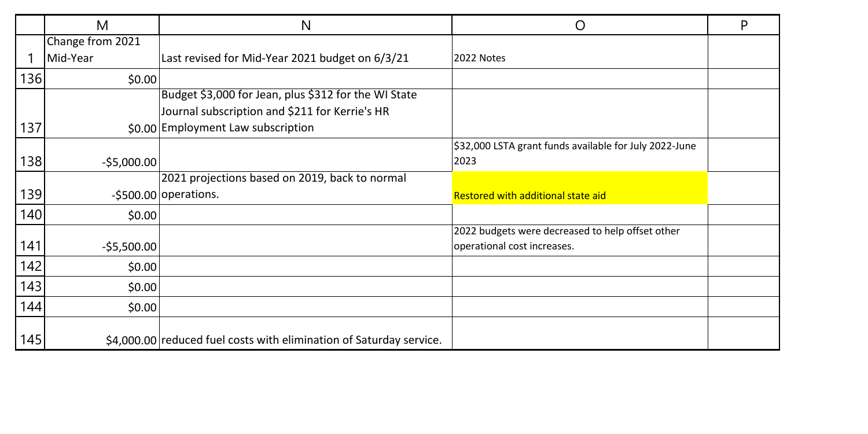|     | M                | N                                                                   | O                                                      | P |
|-----|------------------|---------------------------------------------------------------------|--------------------------------------------------------|---|
|     | Change from 2021 |                                                                     |                                                        |   |
|     | Mid-Year         | Last revised for Mid-Year 2021 budget on 6/3/21                     | 2022 Notes                                             |   |
| 136 | \$0.00           |                                                                     |                                                        |   |
|     |                  | Budget \$3,000 for Jean, plus \$312 for the WI State                |                                                        |   |
|     |                  | Journal subscription and \$211 for Kerrie's HR                      |                                                        |   |
| 137 |                  | \$0.00 Employment Law subscription                                  |                                                        |   |
|     |                  |                                                                     | \$32,000 LSTA grant funds available for July 2022-June |   |
| 138 | $-$5,000.00$     |                                                                     | 2023                                                   |   |
|     |                  | 2021 projections based on 2019, back to normal                      |                                                        |   |
| 139 |                  | $-$ \$500.00 operations.                                            | Restored with additional state aid                     |   |
| 140 | \$0.00           |                                                                     |                                                        |   |
|     |                  |                                                                     | 2022 budgets were decreased to help offset other       |   |
| 141 | $-$ \$5,500.00   |                                                                     | operational cost increases.                            |   |
| 142 | \$0.00           |                                                                     |                                                        |   |
| 143 | \$0.00           |                                                                     |                                                        |   |
| 144 | \$0.00           |                                                                     |                                                        |   |
| 145 |                  | \$4.000.00 reduced fuel costs with elimination of Saturday service. |                                                        |   |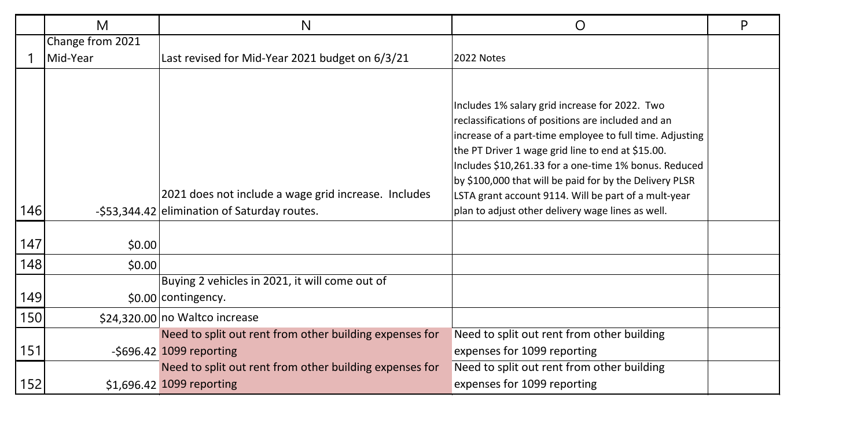|     | M                | N                                                                                                    | O                                                                                                                                                                                                                                                                                                                                                                                                                                                      | P |
|-----|------------------|------------------------------------------------------------------------------------------------------|--------------------------------------------------------------------------------------------------------------------------------------------------------------------------------------------------------------------------------------------------------------------------------------------------------------------------------------------------------------------------------------------------------------------------------------------------------|---|
|     | Change from 2021 |                                                                                                      |                                                                                                                                                                                                                                                                                                                                                                                                                                                        |   |
|     | Mid-Year         | Last revised for Mid-Year 2021 budget on 6/3/21                                                      | 2022 Notes                                                                                                                                                                                                                                                                                                                                                                                                                                             |   |
| 146 |                  | 2021 does not include a wage grid increase. Includes<br>-\$53,344.42 elimination of Saturday routes. | Includes 1% salary grid increase for 2022. Two<br>reclassifications of positions are included and an<br>increase of a part-time employee to full time. Adjusting<br>the PT Driver 1 wage grid line to end at \$15.00.<br>Includes \$10,261.33 for a one-time 1% bonus. Reduced<br>by \$100,000 that will be paid for by the Delivery PLSR<br>LSTA grant account 9114. Will be part of a mult-year<br>plan to adjust other delivery wage lines as well. |   |
|     |                  |                                                                                                      |                                                                                                                                                                                                                                                                                                                                                                                                                                                        |   |
| 147 | \$0.00           |                                                                                                      |                                                                                                                                                                                                                                                                                                                                                                                                                                                        |   |
| 148 | \$0.00           |                                                                                                      |                                                                                                                                                                                                                                                                                                                                                                                                                                                        |   |
| 149 |                  | Buying 2 vehicles in 2021, it will come out of<br>\$0.00 contingency.                                |                                                                                                                                                                                                                                                                                                                                                                                                                                                        |   |
| 150 |                  | \$24,320,00 no Waltco increase                                                                       |                                                                                                                                                                                                                                                                                                                                                                                                                                                        |   |
|     |                  | Need to split out rent from other building expenses for                                              | Need to split out rent from other building                                                                                                                                                                                                                                                                                                                                                                                                             |   |
| 151 |                  | $-5696.42$ 1099 reporting                                                                            | expenses for 1099 reporting                                                                                                                                                                                                                                                                                                                                                                                                                            |   |
|     |                  | Need to split out rent from other building expenses for                                              | Need to split out rent from other building                                                                                                                                                                                                                                                                                                                                                                                                             |   |
| 152 |                  | \$1,696.42 1099 reporting                                                                            | expenses for 1099 reporting                                                                                                                                                                                                                                                                                                                                                                                                                            |   |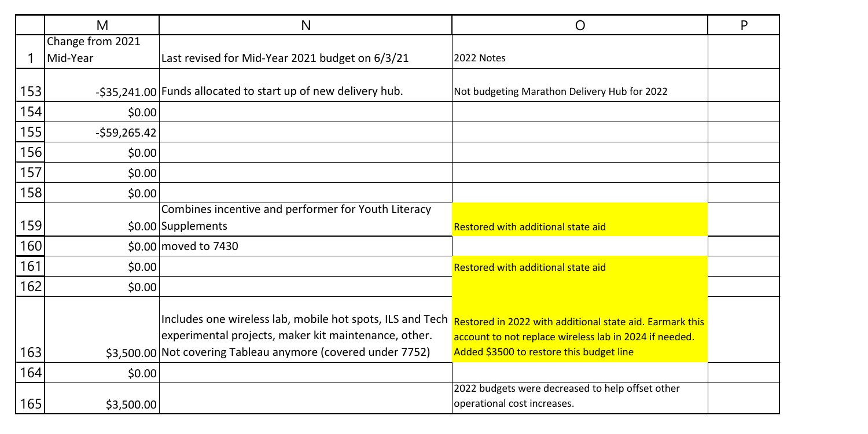|     | M                | N                                                             | O                                                        | P |
|-----|------------------|---------------------------------------------------------------|----------------------------------------------------------|---|
|     | Change from 2021 |                                                               |                                                          |   |
|     | Mid-Year         | Last revised for Mid-Year 2021 budget on 6/3/21               | 2022 Notes                                               |   |
|     |                  |                                                               |                                                          |   |
| 153 |                  | -\$35,241.00 Funds allocated to start up of new delivery hub. | Not budgeting Marathon Delivery Hub for 2022             |   |
| 154 | \$0.00           |                                                               |                                                          |   |
| 155 | $-$59,265.42$    |                                                               |                                                          |   |
| 156 | \$0.00           |                                                               |                                                          |   |
| 157 | \$0.00           |                                                               |                                                          |   |
| 158 | \$0.00           |                                                               |                                                          |   |
|     |                  | Combines incentive and performer for Youth Literacy           |                                                          |   |
| 159 |                  | \$0.00 Supplements                                            | Restored with additional state aid                       |   |
| 160 |                  | \$0.00 moved to 7430                                          |                                                          |   |
| 161 | \$0.00           |                                                               | Restored with additional state aid                       |   |
| 162 | \$0.00           |                                                               |                                                          |   |
|     |                  |                                                               |                                                          |   |
|     |                  | Includes one wireless lab, mobile hot spots, ILS and Tech     | Restored in 2022 with additional state aid. Earmark this |   |
|     |                  | experimental projects, maker kit maintenance, other.          | account to not replace wireless lab in 2024 if needed.   |   |
| 163 |                  | \$3,500.00 Not covering Tableau anymore (covered under 7752)  | Added \$3500 to restore this budget line                 |   |
| 164 | \$0.00           |                                                               |                                                          |   |
|     |                  |                                                               | 2022 budgets were decreased to help offset other         |   |
| 165 | \$3,500.00       |                                                               | operational cost increases.                              |   |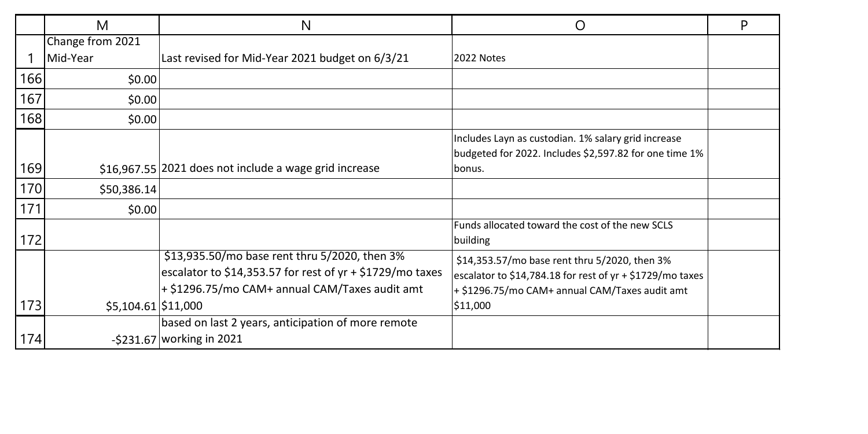|     | М                   | N                                                         | O                                                           | P |
|-----|---------------------|-----------------------------------------------------------|-------------------------------------------------------------|---|
|     | Change from 2021    |                                                           |                                                             |   |
|     | Mid-Year            | Last revised for Mid-Year 2021 budget on 6/3/21           | 2022 Notes                                                  |   |
| 166 | \$0.00              |                                                           |                                                             |   |
| 167 | \$0.00              |                                                           |                                                             |   |
| 168 | \$0.00              |                                                           |                                                             |   |
|     |                     |                                                           | Includes Layn as custodian. 1% salary grid increase         |   |
|     |                     |                                                           | budgeted for 2022. Includes \$2,597.82 for one time 1%      |   |
| 169 |                     | \$16.967.55 2021 does not include a wage grid increase    | bonus.                                                      |   |
| 170 | \$50,386.14         |                                                           |                                                             |   |
| 171 | \$0.00              |                                                           |                                                             |   |
|     |                     |                                                           | Funds allocated toward the cost of the new SCLS             |   |
| 172 |                     |                                                           | building                                                    |   |
|     |                     | \$13,935.50/mo base rent thru 5/2020, then 3%             | \$14,353.57/mo base rent thru 5/2020, then 3%               |   |
|     |                     | escalator to \$14,353.57 for rest of yr + \$1729/mo taxes | escalator to \$14,784.18 for rest of $yr + $1729/mol$ taxes |   |
|     |                     | + \$1296.75/mo CAM+ annual CAM/Taxes audit amt            | + \$1296.75/mo CAM+ annual CAM/Taxes audit amt              |   |
| 173 | \$5,104.61 \$11,000 |                                                           | \$11,000                                                    |   |
|     |                     | based on last 2 years, anticipation of more remote        |                                                             |   |
| 174 |                     | -\$231.67 working in 2021                                 |                                                             |   |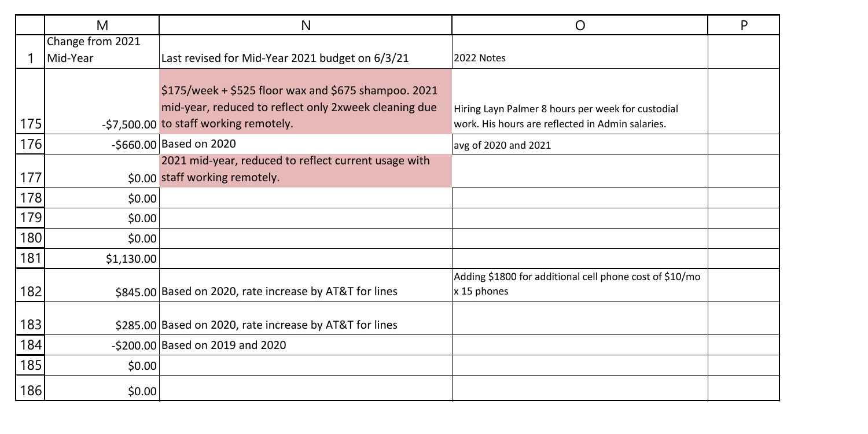|     | M                | N                                                                                                                                                           | Ω                                                                                                     | P |
|-----|------------------|-------------------------------------------------------------------------------------------------------------------------------------------------------------|-------------------------------------------------------------------------------------------------------|---|
|     | Change from 2021 |                                                                                                                                                             |                                                                                                       |   |
|     | Mid-Year         | Last revised for Mid-Year 2021 budget on 6/3/21                                                                                                             | 2022 Notes                                                                                            |   |
| 175 |                  | $$175/$ week + $$525$ floor wax and $$675$ shampoo. 2021<br>mid-year, reduced to reflect only 2xweek cleaning due<br>-\$7,500.00 to staff working remotely. | Hiring Layn Palmer 8 hours per week for custodial<br>work. His hours are reflected in Admin salaries. |   |
| 176 |                  | -\$660.00 Based on 2020                                                                                                                                     | avg of 2020 and 2021                                                                                  |   |
| 177 |                  | 2021 mid-year, reduced to reflect current usage with<br>\$0.00 staff working remotely.                                                                      |                                                                                                       |   |
| 178 | \$0.00           |                                                                                                                                                             |                                                                                                       |   |
| 179 | \$0.00           |                                                                                                                                                             |                                                                                                       |   |
| 180 | \$0.00           |                                                                                                                                                             |                                                                                                       |   |
| 181 | \$1,130.00       |                                                                                                                                                             |                                                                                                       |   |
| 182 |                  | \$845.00 Based on 2020, rate increase by AT&T for lines                                                                                                     | Adding \$1800 for additional cell phone cost of \$10/mo<br>x 15 phones                                |   |
| 183 |                  | \$285.00 Based on 2020, rate increase by AT&T for lines                                                                                                     |                                                                                                       |   |
| 184 |                  | -\$200.00 Based on 2019 and 2020                                                                                                                            |                                                                                                       |   |
| 185 | \$0.00           |                                                                                                                                                             |                                                                                                       |   |
| 186 | \$0.00           |                                                                                                                                                             |                                                                                                       |   |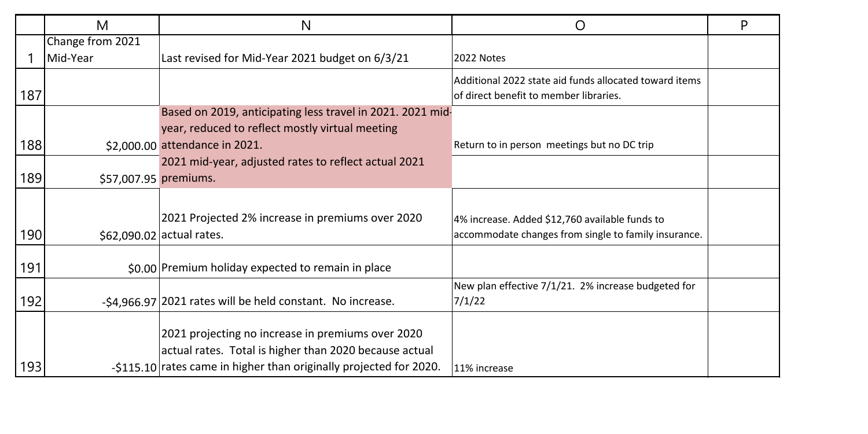|     | M                     | N                                                                  | O                                                                                                | P |
|-----|-----------------------|--------------------------------------------------------------------|--------------------------------------------------------------------------------------------------|---|
|     | Change from 2021      |                                                                    |                                                                                                  |   |
|     | Mid-Year              | Last revised for Mid-Year 2021 budget on 6/3/21                    | 2022 Notes                                                                                       |   |
| 187 |                       |                                                                    | Additional 2022 state aid funds allocated toward items<br>of direct benefit to member libraries. |   |
|     |                       | Based on 2019, anticipating less travel in 2021. 2021 mid-         |                                                                                                  |   |
|     |                       | year, reduced to reflect mostly virtual meeting                    |                                                                                                  |   |
| 188 |                       | \$2,000.00 attendance in 2021.                                     | Return to in person meetings but no DC trip                                                      |   |
|     |                       | 2021 mid-year, adjusted rates to reflect actual 2021               |                                                                                                  |   |
| 189 | \$57,007.95 premiums. |                                                                    |                                                                                                  |   |
|     |                       |                                                                    |                                                                                                  |   |
|     |                       | 2021 Projected 2% increase in premiums over 2020                   | 4% increase. Added \$12,760 available funds to                                                   |   |
| 190 |                       | \$62,090.02 actual rates.                                          | accommodate changes from single to family insurance.                                             |   |
| 191 |                       | \$0.00 Premium holiday expected to remain in place                 |                                                                                                  |   |
| 192 |                       | -\$4.966.97 2021 rates will be held constant. No increase.         | New plan effective 7/1/21. 2% increase budgeted for<br>7/1/22                                    |   |
|     |                       | 2021 projecting no increase in premiums over 2020                  |                                                                                                  |   |
|     |                       | actual rates. Total is higher than 2020 because actual             |                                                                                                  |   |
| 193 |                       | -\$115.10 rates came in higher than originally projected for 2020. | 11% increase                                                                                     |   |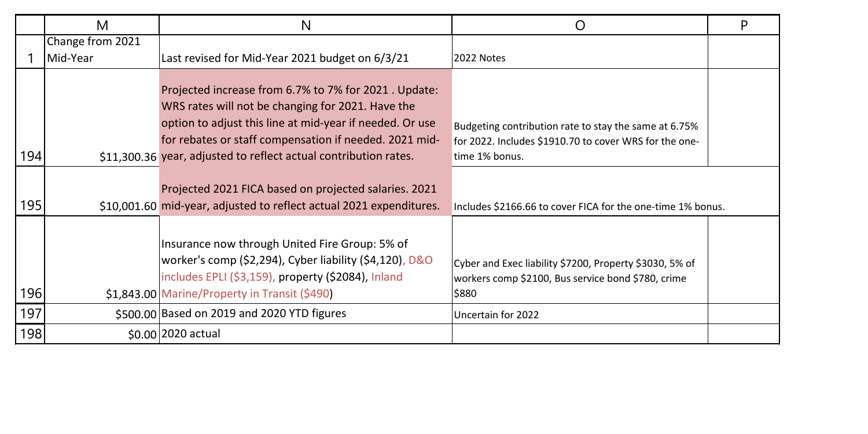|     | M                | N                                                                                                                                                                                                                                                                                                   | O                                                                                                                                 | P |
|-----|------------------|-----------------------------------------------------------------------------------------------------------------------------------------------------------------------------------------------------------------------------------------------------------------------------------------------------|-----------------------------------------------------------------------------------------------------------------------------------|---|
|     | Change from 2021 |                                                                                                                                                                                                                                                                                                     |                                                                                                                                   |   |
|     | Mid-Year         | Last revised for Mid-Year 2021 budget on 6/3/21                                                                                                                                                                                                                                                     | 2022 Notes                                                                                                                        |   |
| 194 |                  | Projected increase from 6.7% to 7% for 2021. Update:<br>WRS rates will not be changing for 2021. Have the<br>option to adjust this line at mid-year if needed. Or use<br>for rebates or staff compensation if needed. 2021 mid-<br>\$11,300.36 year, adjusted to reflect actual contribution rates. | Budgeting contribution rate to stay the same at 6.75%<br>for 2022. Includes \$1910.70 to cover WRS for the one-<br>time 1% bonus. |   |
|     |                  |                                                                                                                                                                                                                                                                                                     |                                                                                                                                   |   |
| 195 |                  | Projected 2021 FICA based on projected salaries. 2021<br>\$10,001.60 mid-year, adjusted to reflect actual 2021 expenditures.                                                                                                                                                                        | Includes \$2166.66 to cover FICA for the one-time 1% bonus.                                                                       |   |
| 196 |                  | Insurance now through United Fire Group: 5% of<br>worker's comp (\$2,294), Cyber liability (\$4,120), D&O<br>includes EPLI (\$3,159), property (\$2084), Inland<br>\$1.843.00 Marine/Property in Transit (\$490)                                                                                    | Cyber and Exec liability \$7200, Property \$3030, 5% of<br>workers comp \$2100, Bus service bond \$780, crime<br>\$880            |   |
| 197 |                  | \$500.00 Based on 2019 and 2020 YTD figures                                                                                                                                                                                                                                                         | Uncertain for 2022                                                                                                                |   |
| 198 |                  | \$0.00 2020 actual                                                                                                                                                                                                                                                                                  |                                                                                                                                   |   |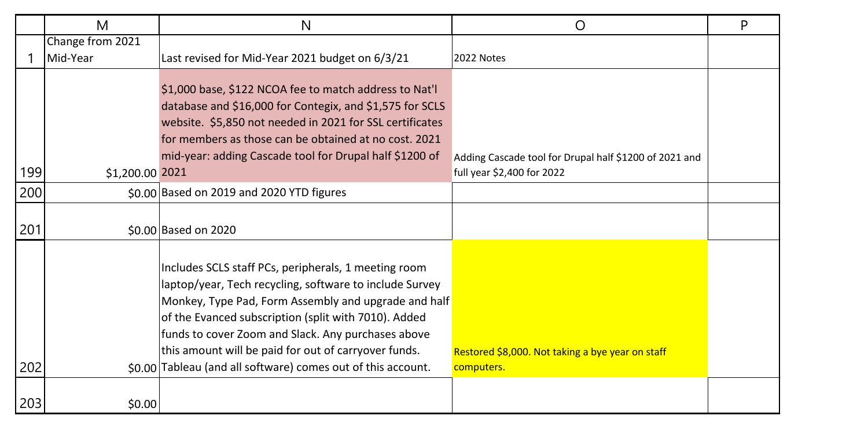|     | M                | N                                                                                                                                                                                                                                                                                                                                                                                                             | O                                                              | P |
|-----|------------------|---------------------------------------------------------------------------------------------------------------------------------------------------------------------------------------------------------------------------------------------------------------------------------------------------------------------------------------------------------------------------------------------------------------|----------------------------------------------------------------|---|
|     | Change from 2021 |                                                                                                                                                                                                                                                                                                                                                                                                               |                                                                |   |
|     | Mid-Year         | Last revised for Mid-Year 2021 budget on 6/3/21                                                                                                                                                                                                                                                                                                                                                               | 2022 Notes                                                     |   |
|     |                  | \$1,000 base, \$122 NCOA fee to match address to Nat'l<br>database and \$16,000 for Contegix, and \$1,575 for SCLS<br>website. \$5,850 not needed in 2021 for SSL certificates<br>for members as those can be obtained at no cost. 2021<br>mid-year: adding Cascade tool for Drupal half \$1200 of                                                                                                            | Adding Cascade tool for Drupal half \$1200 of 2021 and         |   |
| 199 | \$1,200.00 2021  |                                                                                                                                                                                                                                                                                                                                                                                                               | full year \$2,400 for 2022                                     |   |
| 200 |                  | \$0.00 Based on 2019 and 2020 YTD figures                                                                                                                                                                                                                                                                                                                                                                     |                                                                |   |
| 201 |                  | \$0.00 Based on 2020                                                                                                                                                                                                                                                                                                                                                                                          |                                                                |   |
| 202 |                  | Includes SCLS staff PCs, peripherals, 1 meeting room<br>laptop/year, Tech recycling, software to include Survey<br>Monkey, Type Pad, Form Assembly and upgrade and half<br>of the Evanced subscription (split with 7010). Added<br>funds to cover Zoom and Slack. Any purchases above<br>this amount will be paid for out of carryover funds.<br>\$0.00 Tableau (and all software) comes out of this account. | Restored \$8,000. Not taking a bye year on staff<br>computers. |   |
| 203 | \$0.00           |                                                                                                                                                                                                                                                                                                                                                                                                               |                                                                |   |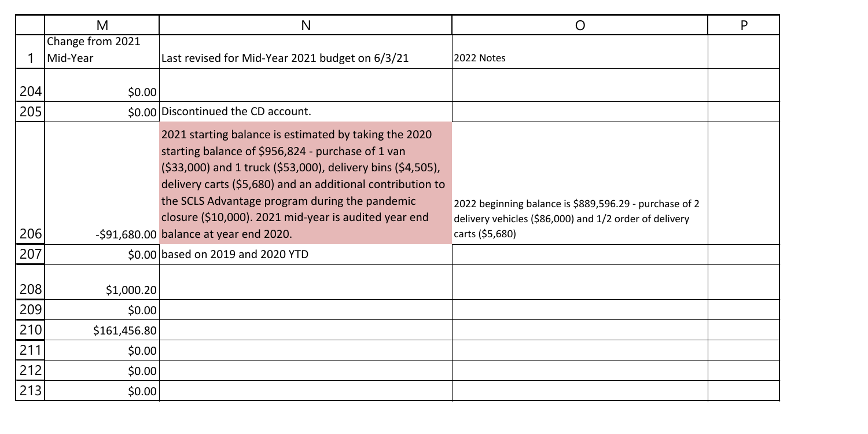|     | M                | N                                                                                                                                                                                                                                                                                                                                                  | O                                                                                                                | P |
|-----|------------------|----------------------------------------------------------------------------------------------------------------------------------------------------------------------------------------------------------------------------------------------------------------------------------------------------------------------------------------------------|------------------------------------------------------------------------------------------------------------------|---|
|     | Change from 2021 |                                                                                                                                                                                                                                                                                                                                                    |                                                                                                                  |   |
|     | Mid-Year         | Last revised for Mid-Year 2021 budget on 6/3/21                                                                                                                                                                                                                                                                                                    | 2022 Notes                                                                                                       |   |
| 204 | \$0.00           |                                                                                                                                                                                                                                                                                                                                                    |                                                                                                                  |   |
| 205 |                  | \$0.00 Discontinued the CD account.                                                                                                                                                                                                                                                                                                                |                                                                                                                  |   |
|     |                  | 2021 starting balance is estimated by taking the 2020<br>starting balance of \$956,824 - purchase of 1 van<br>(\$33,000) and 1 truck (\$53,000), delivery bins (\$4,505),<br>delivery carts (\$5,680) and an additional contribution to<br>the SCLS Advantage program during the pandemic<br>closure (\$10,000). 2021 mid-year is audited year end | 2022 beginning balance is \$889,596.29 - purchase of 2<br>delivery vehicles (\$86,000) and 1/2 order of delivery |   |
| 206 |                  | $-$ \$91,680.00 balance at year end 2020.                                                                                                                                                                                                                                                                                                          | carts (\$5,680)                                                                                                  |   |
| 207 |                  | \$0.00 based on 2019 and 2020 YTD                                                                                                                                                                                                                                                                                                                  |                                                                                                                  |   |
| 208 | \$1,000.20       |                                                                                                                                                                                                                                                                                                                                                    |                                                                                                                  |   |
| 209 | \$0.00           |                                                                                                                                                                                                                                                                                                                                                    |                                                                                                                  |   |
| 210 | \$161,456.80     |                                                                                                                                                                                                                                                                                                                                                    |                                                                                                                  |   |
| 211 | \$0.00           |                                                                                                                                                                                                                                                                                                                                                    |                                                                                                                  |   |
| 212 | \$0.00           |                                                                                                                                                                                                                                                                                                                                                    |                                                                                                                  |   |
| 213 | \$0.00           |                                                                                                                                                                                                                                                                                                                                                    |                                                                                                                  |   |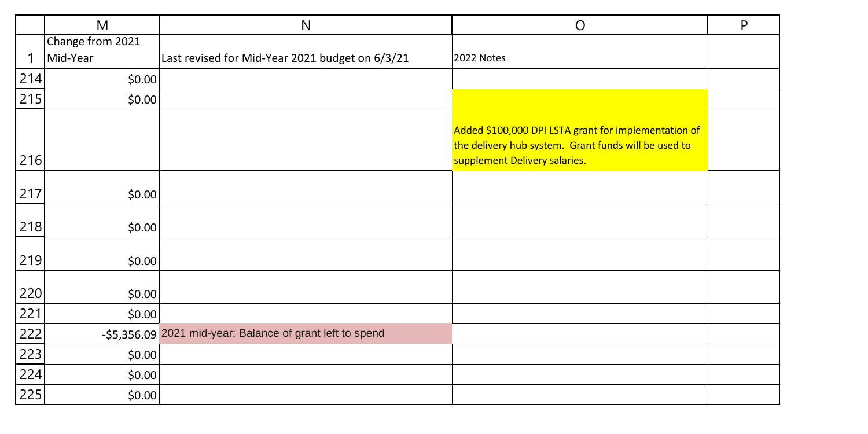|                   | M                | N                                                         | $\circ$                                                                                                                                       | P |
|-------------------|------------------|-----------------------------------------------------------|-----------------------------------------------------------------------------------------------------------------------------------------------|---|
|                   | Change from 2021 |                                                           |                                                                                                                                               |   |
| -1                | Mid-Year         | Last revised for Mid-Year 2021 budget on 6/3/21           | 2022 Notes                                                                                                                                    |   |
| 214               | \$0.00           |                                                           |                                                                                                                                               |   |
| 215               | \$0.00           |                                                           |                                                                                                                                               |   |
| 216               |                  |                                                           | Added \$100,000 DPI LSTA grant for implementation of<br>the delivery hub system. Grant funds will be used to<br>supplement Delivery salaries. |   |
| 217               | \$0.00           |                                                           |                                                                                                                                               |   |
| 218               | \$0.00           |                                                           |                                                                                                                                               |   |
| 219               | \$0.00           |                                                           |                                                                                                                                               |   |
| 220               | \$0.00           |                                                           |                                                                                                                                               |   |
|                   | \$0.00           |                                                           |                                                                                                                                               |   |
| $\frac{221}{222}$ |                  | -\$5,356.09 2021 mid-year: Balance of grant left to spend |                                                                                                                                               |   |
| 223               | \$0.00           |                                                           |                                                                                                                                               |   |
| 224               | \$0.00           |                                                           |                                                                                                                                               |   |
| 225               | \$0.00           |                                                           |                                                                                                                                               |   |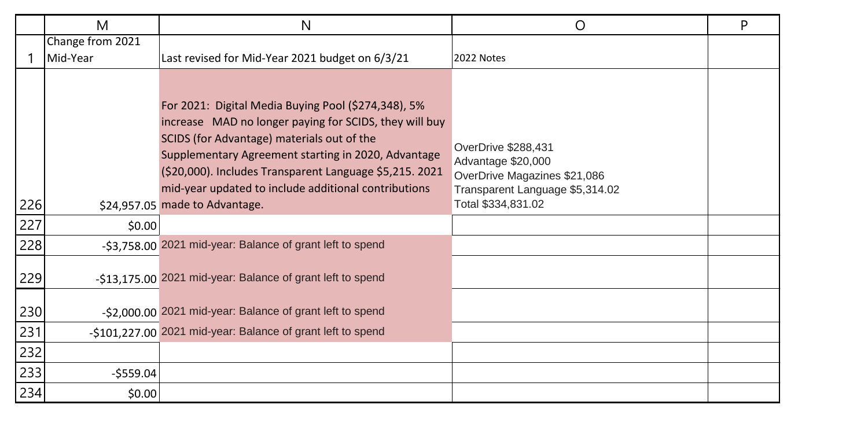|     | M                | N                                                                                                                                                                                                                                                                                                                                                                       | O                                                                                                                                  | P |
|-----|------------------|-------------------------------------------------------------------------------------------------------------------------------------------------------------------------------------------------------------------------------------------------------------------------------------------------------------------------------------------------------------------------|------------------------------------------------------------------------------------------------------------------------------------|---|
|     | Change from 2021 |                                                                                                                                                                                                                                                                                                                                                                         |                                                                                                                                    |   |
|     | Mid-Year         | Last revised for Mid-Year 2021 budget on 6/3/21                                                                                                                                                                                                                                                                                                                         | 2022 Notes                                                                                                                         |   |
| 226 |                  | For 2021: Digital Media Buying Pool (\$274,348), 5%<br>increase MAD no longer paying for SCIDS, they will buy<br>SCIDS (for Advantage) materials out of the<br>Supplementary Agreement starting in 2020, Advantage<br>(\$20,000). Includes Transparent Language \$5,215. 2021<br>mid-year updated to include additional contributions<br>\$24,957.05 made to Advantage. | OverDrive \$288,431<br>Advantage \$20,000<br>OverDrive Magazines \$21,086<br>Transparent Language \$5,314.02<br>Total \$334,831.02 |   |
| 227 | \$0.00           |                                                                                                                                                                                                                                                                                                                                                                         |                                                                                                                                    |   |
| 228 |                  | -\$3,758.00 2021 mid-year: Balance of grant left to spend                                                                                                                                                                                                                                                                                                               |                                                                                                                                    |   |
| 229 |                  | -\$13,175.00 2021 mid-year: Balance of grant left to spend                                                                                                                                                                                                                                                                                                              |                                                                                                                                    |   |
| 230 |                  | -\$2,000.00 2021 mid-year: Balance of grant left to spend                                                                                                                                                                                                                                                                                                               |                                                                                                                                    |   |
| 231 |                  | -\$101,227.00 2021 mid-year: Balance of grant left to spend                                                                                                                                                                                                                                                                                                             |                                                                                                                                    |   |
| 232 |                  |                                                                                                                                                                                                                                                                                                                                                                         |                                                                                                                                    |   |
| 233 | $-$ \$559.04     |                                                                                                                                                                                                                                                                                                                                                                         |                                                                                                                                    |   |
| 234 | \$0.00           |                                                                                                                                                                                                                                                                                                                                                                         |                                                                                                                                    |   |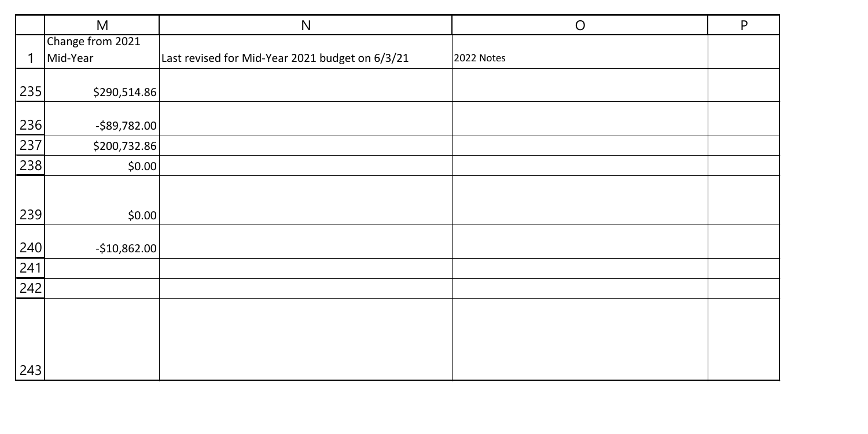|     | M                | N                                               | $\circ$    | P |
|-----|------------------|-------------------------------------------------|------------|---|
|     | Change from 2021 |                                                 |            |   |
| 1   | Mid-Year         | Last revised for Mid-Year 2021 budget on 6/3/21 | 2022 Notes |   |
| 235 | \$290,514.86     |                                                 |            |   |
| 236 | $-$ \$89,782.00  |                                                 |            |   |
| 237 | \$200,732.86     |                                                 |            |   |
| 238 | \$0.00           |                                                 |            |   |
|     |                  |                                                 |            |   |
| 239 | \$0.00           |                                                 |            |   |
| 240 | $-$10,862.00$    |                                                 |            |   |
| 241 |                  |                                                 |            |   |
| 242 |                  |                                                 |            |   |
|     |                  |                                                 |            |   |
|     |                  |                                                 |            |   |
| 243 |                  |                                                 |            |   |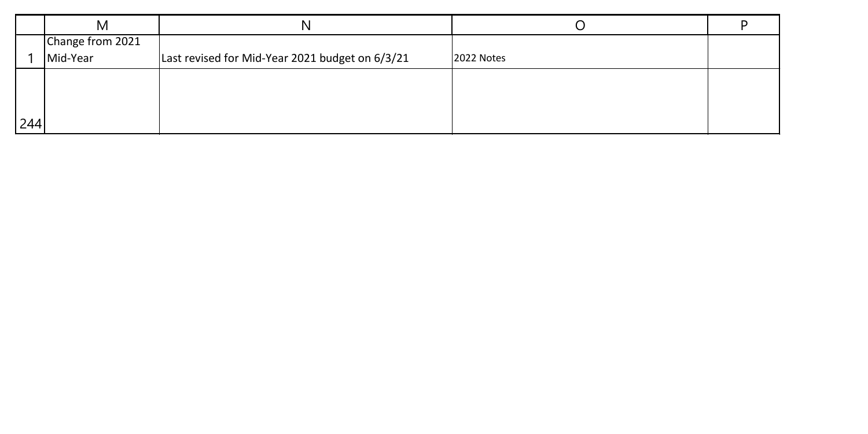|     | M                |                                                 |            |  |
|-----|------------------|-------------------------------------------------|------------|--|
|     | Change from 2021 |                                                 |            |  |
|     | Mid-Year         | Last revised for Mid-Year 2021 budget on 6/3/21 | 2022 Notes |  |
|     |                  |                                                 |            |  |
|     |                  |                                                 |            |  |
|     |                  |                                                 |            |  |
| 244 |                  |                                                 |            |  |